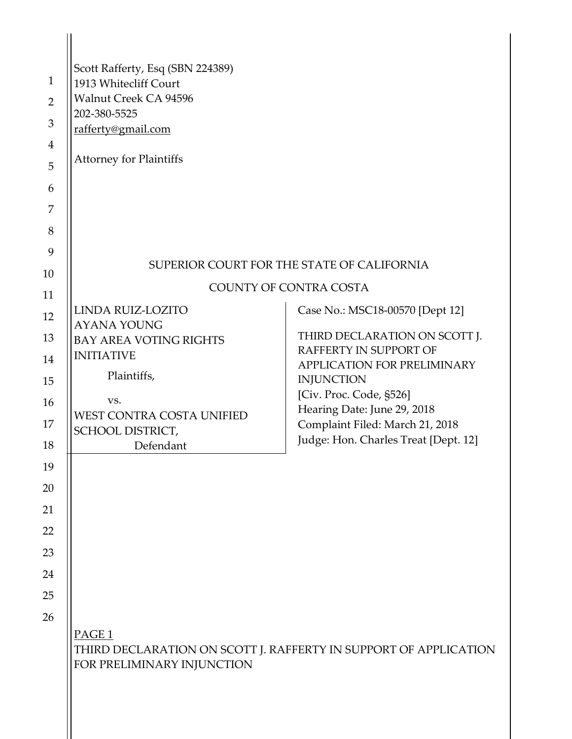|                | Scott Rafferty, Esq (SBN 224389)                                                                                    |                                                                |
|----------------|---------------------------------------------------------------------------------------------------------------------|----------------------------------------------------------------|
| $\mathbf{1}$   | 1913 Whitecliff Court                                                                                               |                                                                |
| $\overline{2}$ | Walnut Creek CA 94596<br>202-380-5525                                                                               |                                                                |
| 3              | rafferty@gmail.com                                                                                                  |                                                                |
| $\overline{4}$ |                                                                                                                     |                                                                |
| 5              | <b>Attorney for Plaintiffs</b>                                                                                      |                                                                |
| 6              |                                                                                                                     |                                                                |
| 7              |                                                                                                                     |                                                                |
| 8              |                                                                                                                     |                                                                |
| 9              |                                                                                                                     | SUPERIOR COURT FOR THE STATE OF CALIFORNIA                     |
| 10             |                                                                                                                     | <b>COUNTY OF CONTRA COSTA</b>                                  |
| 11<br>12       | LINDA RUIZ-LOZITO                                                                                                   | Case No.: MSC18-00570 [Dept 12]                                |
| 13             | <b>AYANA YOUNG</b><br><b>BAY AREA VOTING RIGHTS</b>                                                                 | THIRD DECLARATION ON SCOTT J.                                  |
| 14             | <b>INITIATIVE</b>                                                                                                   | RAFFERTY IN SUPPORT OF                                         |
| 15             | Plaintiffs,                                                                                                         | APPLICATION FOR PRELIMINARY<br><b>INJUNCTION</b>               |
| 16             | VS.                                                                                                                 | [Civ. Proc. Code, §526]                                        |
| 17             | WEST CONTRA COSTA UNIFIED                                                                                           | Hearing Date: June 29, 2018<br>Complaint Filed: March 21, 2018 |
| 18             | SCHOOL DISTRICT,                                                                                                    | Judge: Hon. Charles Treat [Dept. 12]                           |
| 19             | Defendant                                                                                                           |                                                                |
| 20             |                                                                                                                     |                                                                |
| 21             |                                                                                                                     |                                                                |
| 22             |                                                                                                                     |                                                                |
| 23             |                                                                                                                     |                                                                |
| 24             |                                                                                                                     |                                                                |
| 25             |                                                                                                                     |                                                                |
| 26             |                                                                                                                     |                                                                |
|                | PAGE <sub>1</sub><br>THIRD DECLARATION ON SCOTT J. RAFFERTY IN SUPPORT OF APPLICATION<br>FOR PRELIMINARY INJUNCTION |                                                                |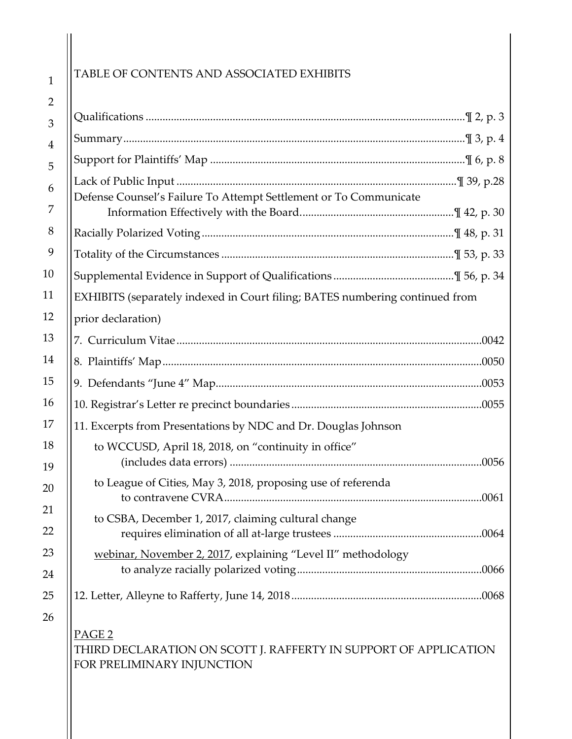# TABLE OF CONTENTS AND ASSOCIATED EXHIBITS

| Defense Counsel's Failure To Attempt Settlement or To Communicate                                                   |
|---------------------------------------------------------------------------------------------------------------------|
|                                                                                                                     |
|                                                                                                                     |
|                                                                                                                     |
| EXHIBITS (separately indexed in Court filing; BATES numbering continued from                                        |
| prior declaration)                                                                                                  |
| 0042                                                                                                                |
|                                                                                                                     |
|                                                                                                                     |
|                                                                                                                     |
| 11. Excerpts from Presentations by NDC and Dr. Douglas Johnson                                                      |
| to WCCUSD, April 18, 2018, on "continuity in office"                                                                |
| to League of Cities, May 3, 2018, proposing use of referenda<br>0061                                                |
| to CSBA, December 1, 2017, claiming cultural change                                                                 |
| webinar, November 2, 2017, explaining "Level II" methodology                                                        |
|                                                                                                                     |
| PAGE <sub>2</sub><br>THIRD DECLARATION ON SCOTT J. RAFFERTY IN SUPPORT OF APPLICATION<br>FOR PRELIMINARY INJUNCTION |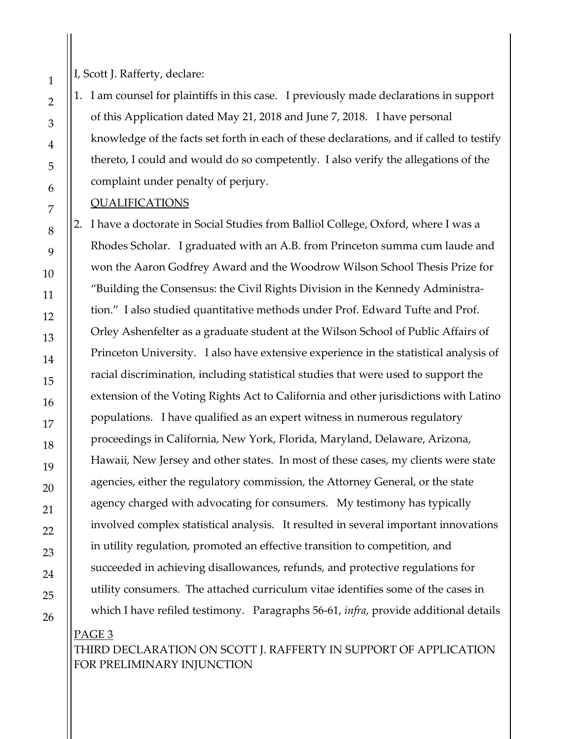I, Scott J. Rafferty, declare:

1. I am counsel for plaintiffs in this case. I previously made declarations in support of this Application dated May 21, 2018 and June 7, 2018. I have personal knowledge of the facts set forth in each of these declarations, and if called to testify thereto, I could and would do so competently. I also verify the allegations of the complaint under penalty of perjury.

#### QUALIFICATIONS

2. I have a doctorate in Social Studies from Balliol College, Oxford, where I was a Rhodes Scholar. I graduated with an A.B. from Princeton summa cum laude and won the Aaron Godfrey Award and the Woodrow Wilson School Thesis Prize for "Building the Consensus: the Civil Rights Division in the Kennedy Administration." I also studied quantitative methods under Prof. Edward Tufte and Prof. Orley Ashenfelter as a graduate student at the Wilson School of Public Affairs of Princeton University. I also have extensive experience in the statistical analysis of racial discrimination, including statistical studies that were used to support the extension of the Voting Rights Act to California and other jurisdictions with Latino populations. I have qualified as an expert witness in numerous regulatory proceedings in California, New York, Florida, Maryland, Delaware, Arizona, Hawaii, New Jersey and other states. In most of these cases, my clients were state agencies, either the regulatory commission, the Attorney General, or the state agency charged with advocating for consumers. My testimony has typically involved complex statistical analysis. It resulted in several important innovations in utility regulation, promoted an effective transition to competition, and succeeded in achieving disallowances, refunds, and protective regulations for utility consumers. The attached curriculum vitae identifies some of the cases in which I have refiled testimony. Paragraphs [56](#page-33-0)[-61,](#page-35-0) *infra*, provide additional details

PAGE 3 THIRD DECLARATION ON SCOTT J. RAFFERTY IN SUPPORT OF APPLICATION FOR PRELIMINARY INJUNCTION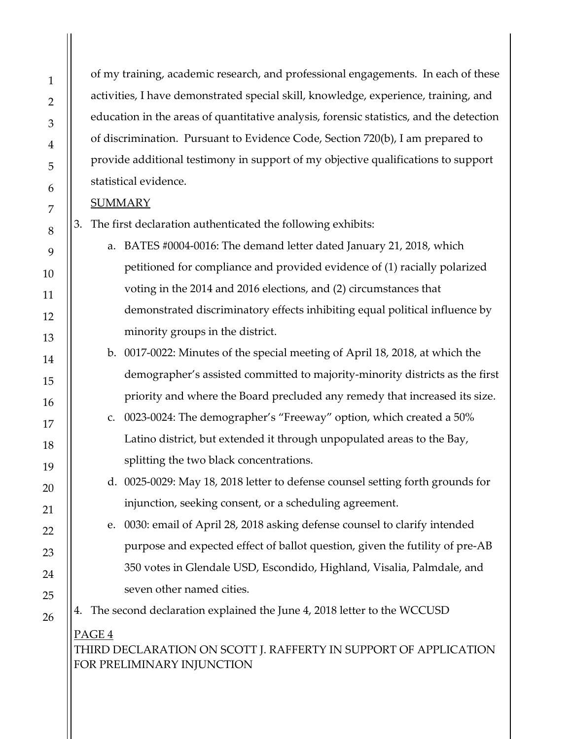of my training, academic research, and professional engagements. In each of these activities, I have demonstrated special skill, knowledge, experience, training, and education in the areas of quantitative analysis, forensic statistics, and the detection of discrimination. Pursuant to Evidence Code, Section 720(b), I am prepared to provide additional testimony in support of my objective qualifications to support statistical evidence.

#### **SUMMARY**

- 3. The first declaration authenticated the following exhibits:
	- a. BATES #0004-0016: The demand letter dated January 21, 2018, which petitioned for compliance and provided evidence of (1) racially polarized voting in the 2014 and 2016 elections, and (2) circumstances that demonstrated discriminatory effects inhibiting equal political influence by minority groups in the district.
	- b. 0017-0022: Minutes of the special meeting of April 18, 2018, at which the demographer's assisted committed to majority-minority districts as the first priority and where the Board precluded any remedy that increased its size.
	- c. 0023-0024: The demographer's "Freeway" option, which created a 50% Latino district, but extended it through unpopulated areas to the Bay, splitting the two black concentrations.
		- d. 0025-0029: May 18, 2018 letter to defense counsel setting forth grounds for injunction, seeking consent, or a scheduling agreement.
	- e. 0030: email of April 28, 2018 asking defense counsel to clarify intended purpose and expected effect of ballot question, given the futility of pre-AB 350 votes in Glendale USD, Escondido, Highland, Visalia, Palmdale, and seven other named cities.

4. The second declaration explained the June 4, 2018 letter to the WCCUSD

# PAGE 4

THIRD DECLARATION ON SCOTT J. RAFFERTY IN SUPPORT OF APPLICATION FOR PRELIMINARY INJUNCTION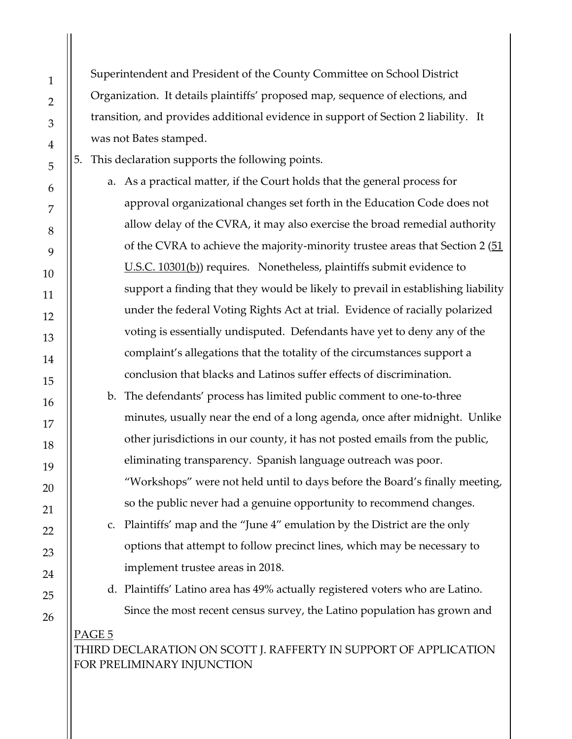Superintendent and President of the County Committee on School District Organization. It details plaintiffs' proposed map, sequence of elections, and transition, and provides additional evidence in support of Section 2 liability. It was not Bates stamped.

5. This declaration supports the following points.

a. As a practical matter, if the Court holds that the general process for approval organizational changes set forth in the Education Code does not allow delay of the CVRA, it may also exercise the broad remedial authority of the CVRA to achieve the majority-minority trustee areas that Section 2 (51) [U.S.C. 10301\(b\)\)](http://uscode.house.gov/view.xhtml?req=(title:52%20section:10301%20edition:prelim)) requires. Nonetheless, plaintiffs submit evidence to support a finding that they would be likely to prevail in establishing liability under the federal Voting Rights Act at trial. Evidence of racially polarized voting is essentially undisputed. Defendants have yet to deny any of the complaint's allegations that the totality of the circumstances support a conclusion that blacks and Latinos suffer effects of discrimination.

b. The defendants' process has limited public comment to one-to-three minutes, usually near the end of a long agenda, once after midnight. Unlike other jurisdictions in our county, it has not posted emails from the public, eliminating transparency. Spanish language outreach was poor. "Workshops" were not held until to days before the Board's finally meeting, so the public never had a genuine opportunity to recommend changes.

c. Plaintiffs' map and the "June 4" emulation by the District are the only options that attempt to follow precinct lines, which may be necessary to implement trustee areas in 2018.

d. Plaintiffs' Latino area has 49% actually registered voters who are Latino. Since the most recent census survey, the Latino population has grown and

PAGE 5 THIRD DECLARATION ON SCOTT J. RAFFERTY IN SUPPORT OF APPLICATION FOR PRELIMINARY INJUNCTION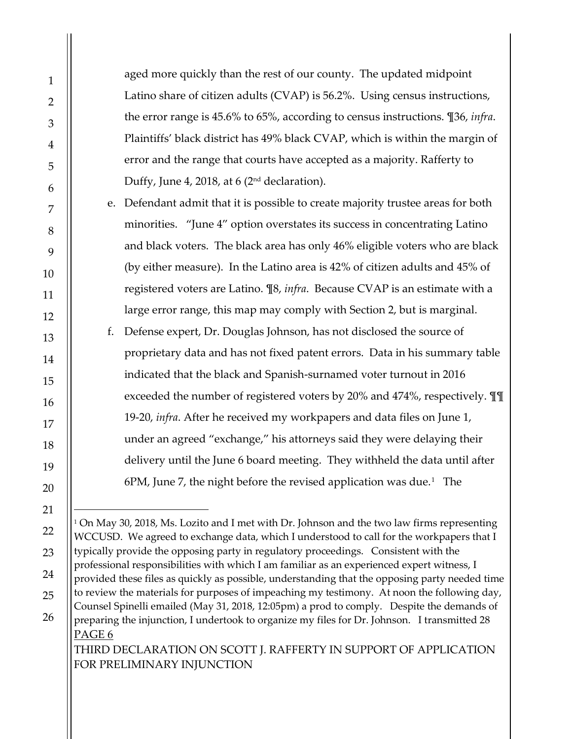aged more quickly than the rest of our county. The updated midpoint Latino share of citizen adults (CVAP) is 56.2%. Using census instructions, the error range is 45.6% to 65%, according to census instructions. [¶36,](#page-26-0) *infra*. Plaintiffs' black district has 49% black CVAP, which is within the margin of error and the range that courts have accepted as a majority. Rafferty to Duffy, June 4, 2018, at 6 (2<sup>nd</sup> declaration).

e. Defendant admit that it is possible to create majority trustee areas for both minorities. "June 4" option overstates its success in concentrating Latino and black voters. The black area has only 46% eligible voters who are black (by either measure). In the Latino area is 42% of citizen adults and 45% of registered voters are Latino. [¶8,](#page-8-0) *infra*. Because CVAP is an estimate with a large error range, this map may comply with Section 2, but is marginal.

f. Defense expert, Dr. Douglas Johnson, has not disclosed the source of proprietary data and has not fixed patent errors. Data in his summary table indicated that the black and Spanish-surnamed voter turnout in 2016 exceeded the number of registered voters by 20% and 474%, respectively. ¶¶ [19](#page-16-0)[-20,](#page-17-0) *infra*. After he received my workpapers and data files on June 1, under an agreed "exchange," his attorneys said they were delaying their delivery until the June 6 board meeting. They withheld the data until after  $6PM$ , June 7, the night before the revised application was due.<sup>[1](#page-5-0)</sup> The

<span id="page-5-0"></span>PAGE 6 THIRD DECLARATION ON SCOTT J. RAFFERTY IN SUPPORT OF APPLICATION <sup>1</sup> On May 30, 2018, Ms. Lozito and I met with Dr. Johnson and the two law firms representing WCCUSD. We agreed to exchange data, which I understood to call for the workpapers that I typically provide the opposing party in regulatory proceedings. Consistent with the professional responsibilities with which I am familiar as an experienced expert witness, I provided these files as quickly as possible, understanding that the opposing party needed time to review the materials for purposes of impeaching my testimony. At noon the following day, Counsel Spinelli emailed (May 31, 2018, 12:05pm) a prod to comply. Despite the demands of preparing the injunction, I undertook to organize my files for Dr. Johnson. I transmitted 28

FOR PRELIMINARY INJUNCTION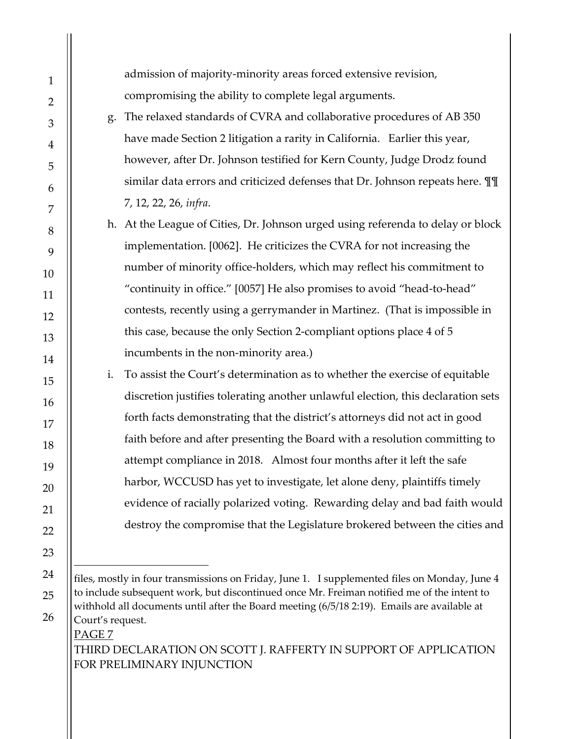$\overline{a}$ 

admission of majority-minority areas forced extensive revision, compromising the ability to complete legal arguments.

- g. The relaxed standards of CVRA and collaborative procedures of AB 350 have made Section 2 litigation a rarity in California. Earlier this year, however, after Dr. Johnson testified for Kern County, Judge Drodz found similar data errors and criticized defenses that Dr. Johnson repeats here. ¶¶ [7,](#page-8-1) [12,](#page-11-0) [22,](#page-17-1) [26,](#page-20-0) *infra*.
- h. At the League of Cities, Dr. Johnson urged using referenda to delay or block implementation. [0062]. He criticizes the CVRA for not increasing the number of minority office-holders, which may reflect his commitment to "continuity in office." [0057] He also promises to avoid "head-to-head" contests, recently using a gerrymander in Martinez. (That is impossible in this case, because the only Section 2-compliant options place 4 of 5 incumbents in the non-minority area.)
- i. To assist the Court's determination as to whether the exercise of equitable discretion justifies tolerating another unlawful election, this declaration sets forth facts demonstrating that the district's attorneys did not act in good faith before and after presenting the Board with a resolution committing to attempt compliance in 2018. Almost four months after it left the safe harbor, WCCUSD has yet to investigate, let alone deny, plaintiffs timely evidence of racially polarized voting. Rewarding delay and bad faith would destroy the compromise that the Legislature brokered between the cities and

PAGE 7 THIRD DECLARATION ON SCOTT J. RAFFERTY IN SUPPORT OF APPLICATION FOR PRELIMINARY INJUNCTION

files, mostly in four transmissions on Friday, June 1. I supplemented files on Monday, June 4 to include subsequent work, but discontinued once Mr. Freiman notified me of the intent to withhold all documents until after the Board meeting (6/5/18 2:19). Emails are available at Court's request.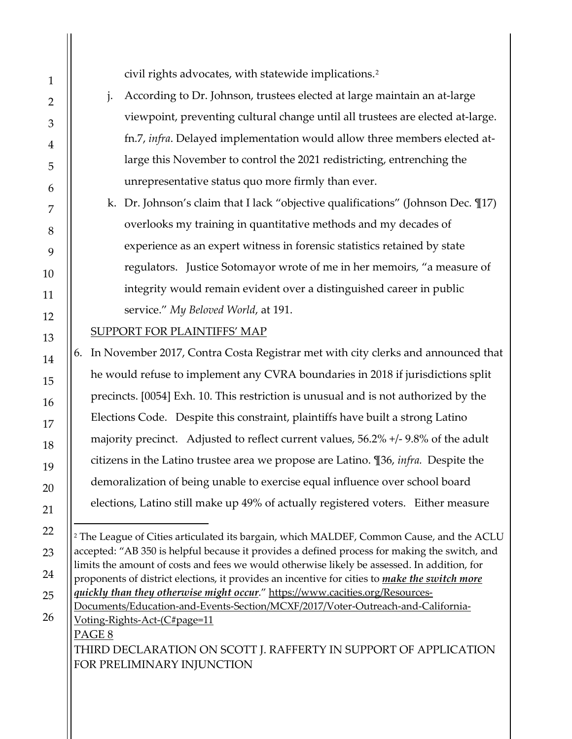civil rights advocates, with statewide implications.[2](#page-7-0)

- j. According to Dr. Johnson, trustees elected at large maintain an at-large viewpoint, preventing cultural change until all trustees are elected at-large. fn[.7,](#page-14-0) *infra*. Delayed implementation would allow three members elected atlarge this November to control the 2021 redistricting, entrenching the unrepresentative status quo more firmly than ever.
- k. Dr. Johnson's claim that I lack "objective qualifications" (Johnson Dec. ¶17) overlooks my training in quantitative methods and my decades of experience as an expert witness in forensic statistics retained by state regulators. Justice Sotomayor wrote of me in her memoirs, "a measure of integrity would remain evident over a distinguished career in public service." *My Beloved World*, at 191.

# SUPPORT FOR PLAINTIFFS' MAP

6. In November 2017, Contra Costa Registrar met with city clerks and announced that he would refuse to implement any CVRA boundaries in 2018 if jurisdictions split precincts. [0054] Exh. 10. This restriction is unusual and is not authorized by the Elections Code. Despite this constraint, plaintiffs have built a strong Latino majority precinct. Adjusted to reflect current values, 56.2% +/- 9.8% of the adult citizens in the Latino trustee area we propose are Latino. [¶36,](#page-26-0) *infra.* Despite the demoralization of being unable to exercise equal influence over school board elections, Latino still make up 49% of actually registered voters. Either measure

<span id="page-7-0"></span>PAGE 8 THIRD DECLARATION ON SCOTT J. RAFFERTY IN SUPPORT OF APPLICATION  $\overline{a}$ <sup>2</sup> The League of Cities articulated its bargain, which MALDEF, Common Cause, and the ACLU accepted: "AB 350 is helpful because it provides a defined process for making the switch, and limits the amount of costs and fees we would otherwise likely be assessed. In addition, for proponents of district elections, it provides an incentive for cities to *make the switch more quickly than they otherwise might occur*.[" https://www.cacities.org/Resources-](https://www.cacities.org/Resources-Documents/Education-and-Events-Section/MCXF/2017/Voter-Outreach-and-California-Voting-Rights-Act-(C#page=11)[Documents/Education-and-Events-Section/MCXF/2017/Voter-Outreach-and-California-](https://www.cacities.org/Resources-Documents/Education-and-Events-Section/MCXF/2017/Voter-Outreach-and-California-Voting-Rights-Act-(C#page=11)[Voting-Rights-Act-\(C#page=11](https://www.cacities.org/Resources-Documents/Education-and-Events-Section/MCXF/2017/Voter-Outreach-and-California-Voting-Rights-Act-(C#page=11)

FOR PRELIMINARY INJUNCTION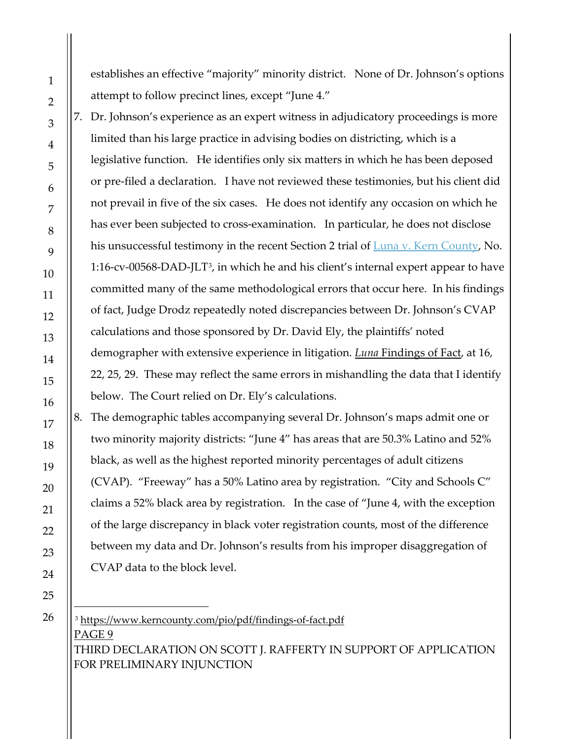establishes an effective "majority" minority district. None of Dr. Johnson's options attempt to follow precinct lines, except "June 4."

<span id="page-8-1"></span>7. Dr. Johnson's experience as an expert witness in adjudicatory proceedings is more limited than his large practice in advising bodies on districting, which is a legislative function. He identifies only six matters in which he has been deposed or pre-filed a declaration. I have not reviewed these testimonies, but his client did not prevail in five of the six cases. He does not identify any occasion on which he has ever been subjected to cross-examination. In particular, he does not disclose his unsuccessful testimony in the recent Section 2 trial of **Luna v. Kern County**, No. 1:16-cv-00568-DAD-JLT[3](#page-8-2) , in which he and his client's internal expert appear to have committed many of the same methodological errors that occur here. In his findings of fact, Judge Drodz repeatedly noted discrepancies between Dr. Johnson's CVAP calculations and those sponsored by Dr. David Ely, the plaintiffs' noted demographer with extensive experience in litigation. *Luna* [Findings of Fact,](https://www.kerncounty.com/pio/pdf/findings-of-fact.pdf#page=16) at 16, 22, 25, 29. These may reflect the same errors in mishandling the data that I identify below. The Court relied on Dr. Ely's calculations.

<span id="page-8-0"></span>8. The demographic tables accompanying several Dr. Johnson's maps admit one or two minority majority districts: "June 4" has areas that are 50.3% Latino and 52% black, as well as the highest reported minority percentages of adult citizens (CVAP). "Freeway" has a 50% Latino area by registration. "City and Schools C" claims a 52% black area by registration. In the case of "June 4, with the exception of the large discrepancy in black voter registration counts, most of the difference between my data and Dr. Johnson's results from his improper disaggregation of CVAP data to the block level.

<span id="page-8-2"></span>PAGE 9 THIRD DECLARATION ON SCOTT J. RAFFERTY IN SUPPORT OF APPLICATION FOR PRELIMINARY INJUNCTION <sup>3</sup> <https://www.kerncounty.com/pio/pdf/findings-of-fact.pdf>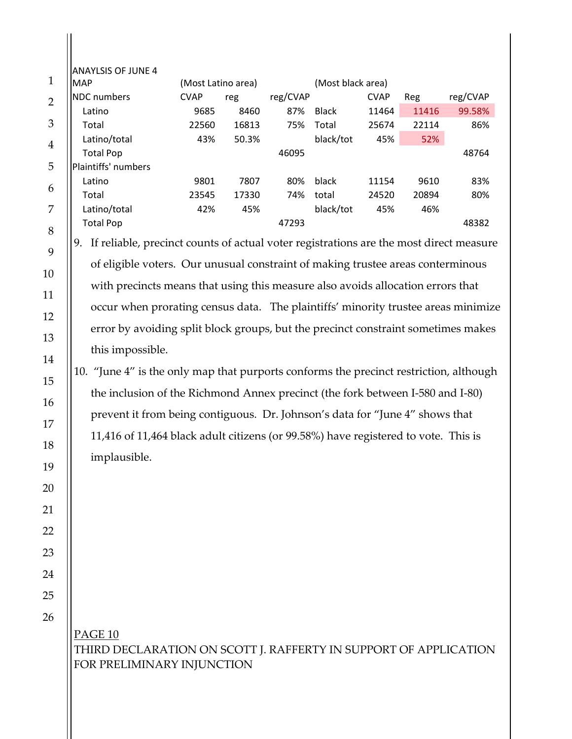| <b>IMAP</b>         | (Most Latino area) |       |          | (Most black area) |             |       |          |
|---------------------|--------------------|-------|----------|-------------------|-------------|-------|----------|
| NDC numbers         | <b>CVAP</b>        | reg   | reg/CVAP |                   | <b>CVAP</b> | Reg   | reg/CVAP |
| Latino              | 9685               | 8460  | 87%      | <b>Black</b>      | 11464       | 11416 | 99.58%   |
| Total               | 22560              | 16813 | 75%      | Total             | 25674       | 22114 | 86%      |
| Latino/total        | 43%                | 50.3% |          | black/tot         | 45%         | 52%   |          |
| <b>Total Pop</b>    |                    |       | 46095    |                   |             |       | 48764    |
| Plaintiffs' numbers |                    |       |          |                   |             |       |          |
| Latino              | 9801               | 7807  | 80%      | black             | 11154       | 9610  | 83%      |
| Total               | 23545              | 17330 | 74%      | total             | 24520       | 20894 | 80%      |
| Latino/total        | 42%                | 45%   |          | black/tot         | 45%         | 46%   |          |
| <b>Total Pop</b>    |                    |       | 47293    |                   |             |       | 48382    |

of eligible voters. Our unusual constraint of making trustee areas conterminous with precincts means that using this measure also avoids allocation errors that occur when prorating census data. The plaintiffs' minority trustee areas minimize error by avoiding split block groups, but the precinct constraint sometimes makes this impossible.

# 10. "June 4" is the only map that purports conforms the precinct restriction, although the inclusion of the Richmond Annex precinct (the fork between I-580 and I-80) prevent it from being contiguous. Dr. Johnson's data for "June 4" shows that 11,416 of 11,464 black adult citizens (or 99.58%) have registered to vote. This is implausible.

# PAGE 10 THIRD DECLARATION ON SCOTT J. RAFFERTY IN SUPPORT OF APPLICATION FOR PRELIMINARY INJUNCTION

 $\prod$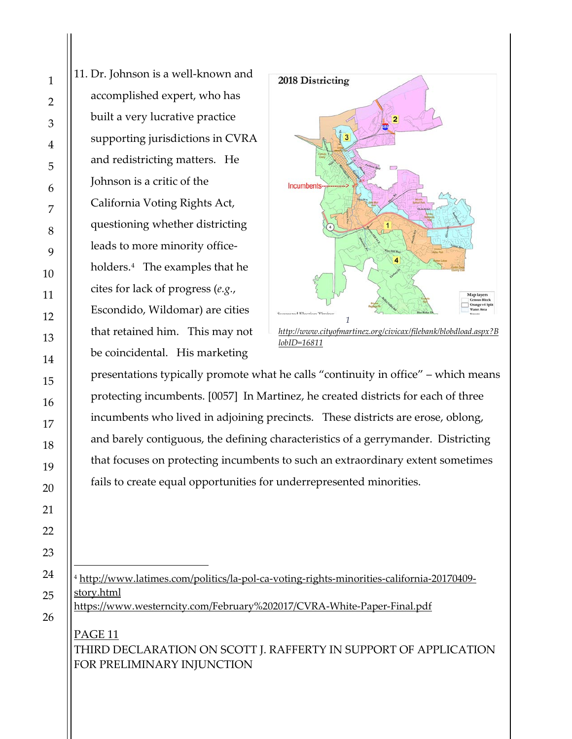$\overline{a}$ 

11. Dr. Johnson is a well-known and accomplished expert, who has built a very lucrative practice supporting jurisdictions in CVRA and redistricting matters. He Johnson is a critic of the California Voting Rights Act, questioning whether districting leads to more minority officeholders.[4](#page-10-0) The examples that he cites for lack of progress (*e.g.*, Escondido, Wildomar) are cities that retained him. This may not be coincidental. His marketing



presentations typically promote what he calls "continuity in office" – which means protecting incumbents. [0057] In Martinez, he created districts for each of three incumbents who lived in adjoining precincts. These districts are erose, oblong, and barely contiguous, the defining characteristics of a gerrymander. Districting that focuses on protecting incumbents to such an extraordinary extent sometimes fails to create equal opportunities for underrepresented minorities.

<span id="page-10-0"></span><sup>4</sup> [http://www.latimes.com/politics/la-pol-ca-voting-rights-minorities-california-20170409](http://www.latimes.com/politics/la-pol-ca-voting-rights-minorities-california-20170409-story.html) [story.html](http://www.latimes.com/politics/la-pol-ca-voting-rights-minorities-california-20170409-story.html) <https://www.westerncity.com/February%202017/CVRA-White-Paper-Final.pdf>

PAGE 11 THIRD DECLARATION ON SCOTT J. RAFFERTY IN SUPPORT OF APPLICATION FOR PRELIMINARY INJUNCTION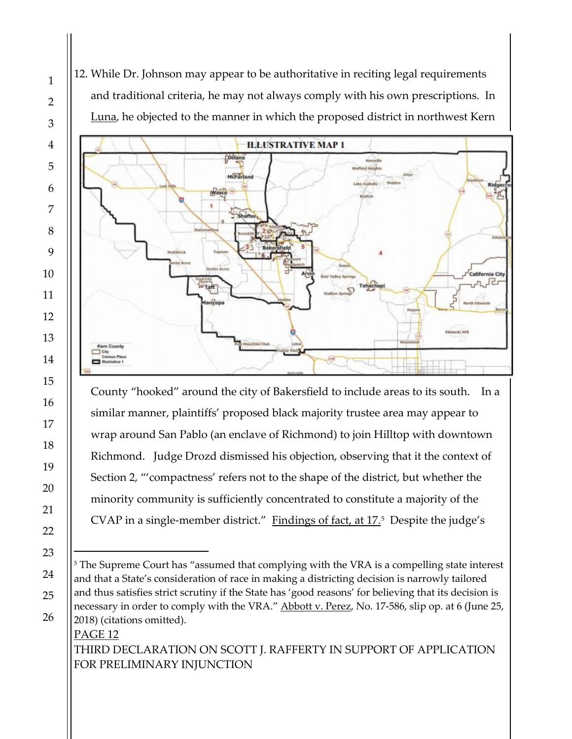<span id="page-11-0"></span>12. While Dr. Johnson may appear to be authoritative in reciting legal requirements and traditional criteria, he may not always comply with his own prescriptions. In Luna, he objected to the manner in which the proposed district in northwest Kern



County "hooked" around the city of Bakersfield to include areas to its south. In a similar manner, plaintiffs' proposed black majority trustee area may appear to wrap around San Pablo (an enclave of Richmond) to join Hilltop with downtown Richmond. Judge Drozd dismissed his objection, observing that it the context of Section 2, "'compactness' refers not to the shape of the district, but whether the minority community is sufficiently concentrated to constitute a majority of the CVAP in a single-member district." [Findings of fact, at 17.](https://www.kerncounty.com/pio/pdf/findings-of-fact.pdf#page=17)<sup>[5](#page-11-1)</sup> Despite the judge's

### PAGE 12 THIRD DECLARATION ON SCOTT J. RAFFERTY IN SUPPORT OF APPLICATION FOR PRELIMINARY INJUNCTION

<span id="page-11-1"></span><sup>&</sup>lt;sup>5</sup> The Supreme Court has "assumed that complying with the VRA is a compelling state interest and that a State's consideration of race in making a districting decision is narrowly tailored and thus satisfies strict scrutiny if the State has 'good reasons' for believing that its decision is necessary in order to comply with the VRA." Abbott v. Perez, No. 17-586, slip op. at 6 (June 25, 2018) (citations omitted).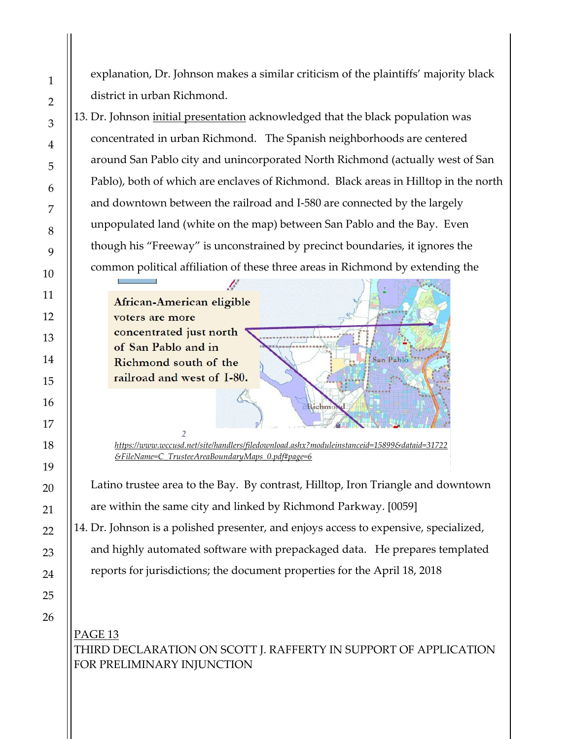explanation, Dr. Johnson makes a similar criticism of the plaintiffs' majority black district in urban Richmond.

13. Dr. Johnson [initial presentation](https://www.wccusd.net/site/handlers/filedownload.ashx?moduleinstanceid=15899&dataid=31722&FileName=C_TrusteeAreaBoundaryMaps_0.pdf#page=6) acknowledged that the black population was concentrated in urban Richmond. The Spanish neighborhoods are centered around San Pablo city and unincorporated North Richmond (actually west of San Pablo), both of which are enclaves of Richmond. Black areas in Hilltop in the north and downtown between the railroad and I-580 are connected by the largely unpopulated land (white on the map) between San Pablo and the Bay. Even though his "Freeway" is unconstrained by precinct boundaries, it ignores the common political affiliation of these three areas in Richmond by extending the

B African-American eligible voters are more concentrated just north of San Pablo and in Richmond south of the railroad and west of I-80.

*2 [https://www.wccusd.net/site/handlers/filedownload.ashx?moduleinstanceid=15899&dataid=31722](https://www.wccusd.net/site/handlers/filedownload.ashx?moduleinstanceid=15899&dataid=31722&FileName=C_TrusteeAreaBoundaryMaps_0.pdf#page=6) [&FileName=C\\_TrusteeAreaBoundaryMaps\\_0.pdf#page=6](https://www.wccusd.net/site/handlers/filedownload.ashx?moduleinstanceid=15899&dataid=31722&FileName=C_TrusteeAreaBoundaryMaps_0.pdf#page=6)*

Richmo

San Pablo

Latino trustee area to the Bay. By contrast, Hilltop, Iron Triangle and downtown are within the same city and linked by Richmond Parkway. [0059]

14. Dr. Johnson is a polished presenter, and enjoys access to expensive, specialized,

and highly automated software with prepackaged data. He prepares templated

reports for jurisdictions; the document properties for the April 18, 2018

PAGE<sub>13</sub> THIRD DECLARATION ON SCOTT J. RAFFERTY IN SUPPORT OF APPLICATION FOR PRELIMINARY INJUNCTION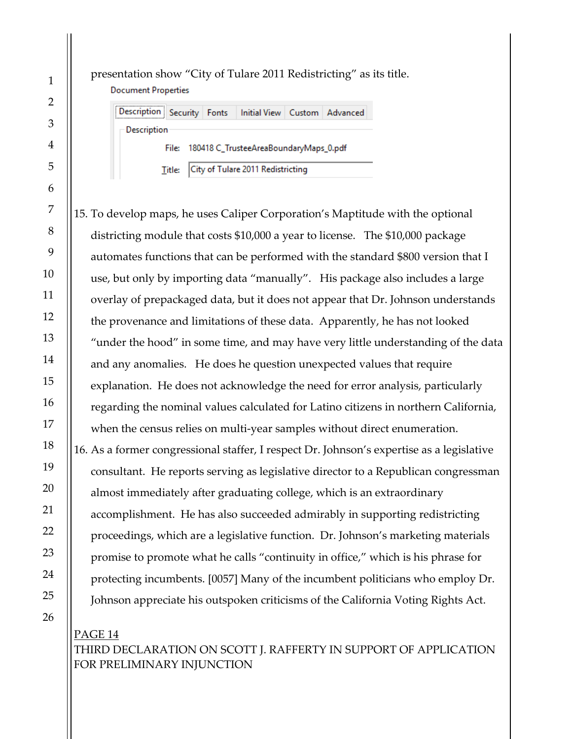**Document Properties** Description Security Fonts Initial View Custom Advanced **Description** 180418 C\_TrusteeAreaBoundaryMaps\_0.pdf **File:** City of Tulare 2011 Redistricting Title:

presentation show "City of Tulare 2011 Redistricting" as its title.

15. To develop maps, he uses Caliper Corporation's Maptitude with the optional districting module that costs \$10,000 a year to license. The \$10,000 package automates functions that can be performed with the standard \$800 version that I use, but only by importing data "manually". His package also includes a large overlay of prepackaged data, but it does not appear that Dr. Johnson understands the provenance and limitations of these data. Apparently, he has not looked "under the hood" in some time, and may have very little understanding of the data and any anomalies. He does he question unexpected values that require explanation. He does not acknowledge the need for error analysis, particularly regarding the nominal values calculated for Latino citizens in northern California, when the census relies on multi-year samples without direct enumeration. 16. As a former congressional staffer, I respect Dr. Johnson's expertise as a legislative consultant. He reports serving as legislative director to a Republican congressman almost immediately after graduating college, which is an extraordinary accomplishment. He has also succeeded admirably in supporting redistricting proceedings, which are a legislative function. Dr. Johnson's marketing materials promise to promote what he calls "continuity in office," which is his phrase for protecting incumbents. [0057] Many of the incumbent politicians who employ Dr. Johnson appreciate his outspoken criticisms of the California Voting Rights Act.

# PAGE 14 THIRD DECLARATION ON SCOTT J. RAFFERTY IN SUPPORT OF APPLICATION FOR PRELIMINARY INJUNCTION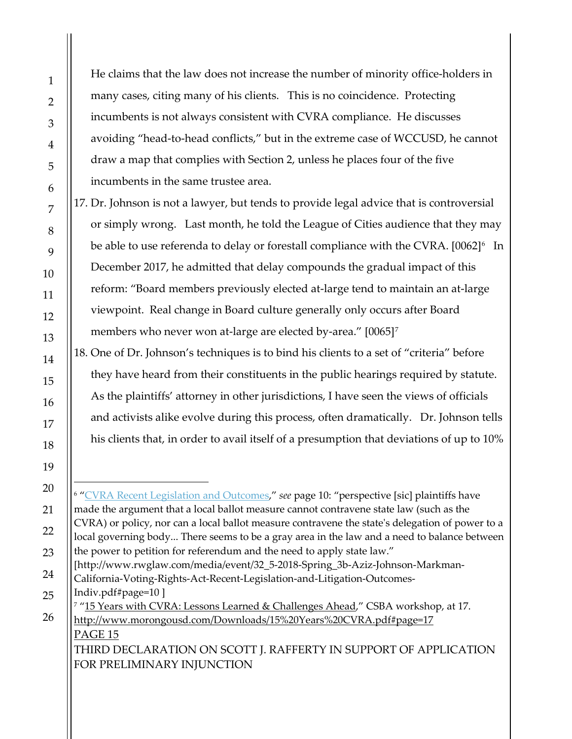He claims that the law does not increase the number of minority office-holders in many cases, citing many of his clients. This is no coincidence. Protecting incumbents is not always consistent with CVRA compliance. He discusses avoiding "head-to-head conflicts," but in the extreme case of WCCUSD, he cannot draw a map that complies with Section 2, unless he places four of the five incumbents in the same trustee area.

17. Dr. Johnson is not a lawyer, but tends to provide legal advice that is controversial or simply wrong. Last month, he told the League of Cities audience that they may be able to use referenda to delay or forestall compliance with the CVRA.  $[0062]$  $[0062]$  $[0062]$ <sup>6</sup> In December 2017, he admitted that delay compounds the gradual impact of this reform: "Board members previously elected at-large tend to maintain an at-large viewpoint. Real change in Board culture generally only occurs after Board members who never won at-large are elected by-area." [0065]<sup>[7](#page-14-2)</sup>

<span id="page-14-0"></span>18. One of Dr. Johnson's techniques is to bind his clients to a set of "criteria" before they have heard from their constituents in the public hearings required by statute. As the plaintiffs' attorney in other jurisdictions, I have seen the views of officials and activists alike evolve during this process, often dramatically. Dr. Johnson tells his clients that, in order to avail itself of a presumption that deviations of up to 10%

<span id="page-14-2"></span>Indiv.pdf#page=10 ]

#### PAGE 15 <sup>7</sup> ["15 Years with CVRA: Lessons Learned & Challenges Ahead,](http://www.morongousd.com/Downloads/15%20Years%20CVRA.pdf#page=17)" CSBA workshop, at 17. <http://www.morongousd.com/Downloads/15%20Years%20CVRA.pdf#page=17>

THIRD DECLARATION ON SCOTT J. RAFFERTY IN SUPPORT OF APPLICATION FOR PRELIMINARY INJUNCTION

<span id="page-14-1"></span> $\overline{a}$ <sup>6</sup> ["CVRA Recent Legislation and Outcomes,](http://www.rwglaw.com/media/event/32_5-2018-Spring_3b-Aziz-Johnson-Markman-California-Voting-Rights-Act-Recent-Legislation-and-Litigation-Outcomes-Indiv.pdf#page=10)" *see* page 10: "perspective [sic] plaintiffs have made the argument that a local ballot measure cannot contravene state law (such as the CVRA) or policy, nor can a local ballot measure contravene the state's delegation of power to a local governing body... There seems to be a gray area in the law and a need to balance between the power to petition for referendum and the need to apply state law." [http://www.rwglaw.com/media/event/32\_5-2018-Spring\_3b-Aziz-Johnson-Markman-California-Voting-Rights-Act-Recent-Legislation-and-Litigation-Outcomes-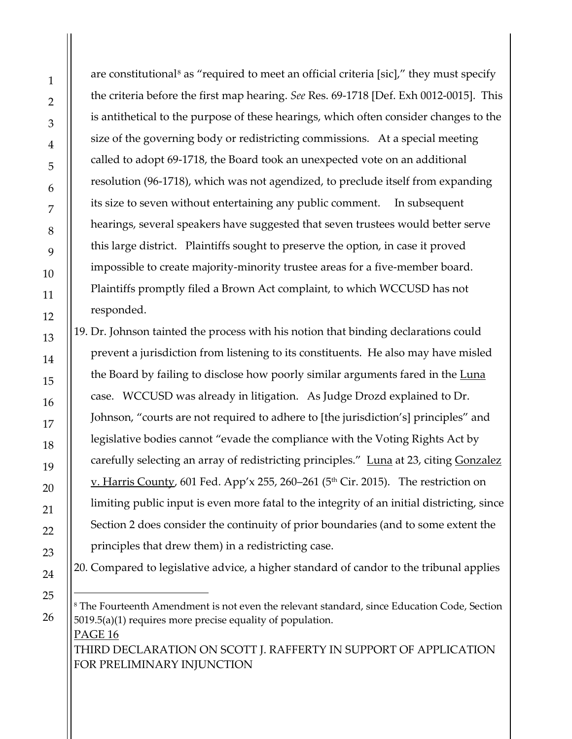$\overline{a}$ 

are constitutional<sup>[8](#page-15-0)</sup> as "required to meet an official criteria [sic]," they must specify the criteria before the first map hearing. *See* Res. 69-1718 [Def. Exh 0012-0015]. This is antithetical to the purpose of these hearings, which often consider changes to the size of the governing body or redistricting commissions. At a special meeting called to adopt 69-1718, the Board took an unexpected vote on an additional resolution (96-1718), which was not agendized, to preclude itself from expanding its size to seven without entertaining any public comment. In subsequent hearings, several speakers have suggested that seven trustees would better serve this large district. Plaintiffs sought to preserve the option, in case it proved impossible to create majority-minority trustee areas for a five-member board. Plaintiffs promptly filed a Brown Act complaint, to which WCCUSD has not responded.

19. Dr. Johnson tainted the process with his notion that binding declarations could prevent a jurisdiction from listening to its constituents. He also may have misled the Board by failing to disclose how poorly similar arguments fared in the Luna case. WCCUSD was already in litigation. As Judge Drozd explained to Dr. Johnson, "courts are not required to adhere to [the jurisdiction's] principles" and legislative bodies cannot "evade the compliance with the Voting Rights Act by carefully selecting an array of redistricting principles." [Luna](https://www.kerncounty.com/pio/pdf/findings-of-fact.pdf#page=23) at 23, citing Gonzalez <u>v. Harris County</u>, 601 Fed. App'x 255, 260–261 (5<sup>th</sup> Cir. 2015). The restriction on limiting public input is even more fatal to the integrity of an initial districting, since Section 2 does consider the continuity of prior boundaries (and to some extent the principles that drew them) in a redistricting case.

20. Compared to legislative advice, a higher standard of candor to the tribunal applies

<span id="page-15-0"></span>PAGE 16 THIRD DECLARATION ON SCOTT J. RAFFERTY IN SUPPORT OF APPLICATION FOR PRELIMINARY INJUNCTION <sup>8</sup> The Fourteenth Amendment is not even the relevant standard, since Education Code, Section 5019.5(a)(1) requires more precise equality of population.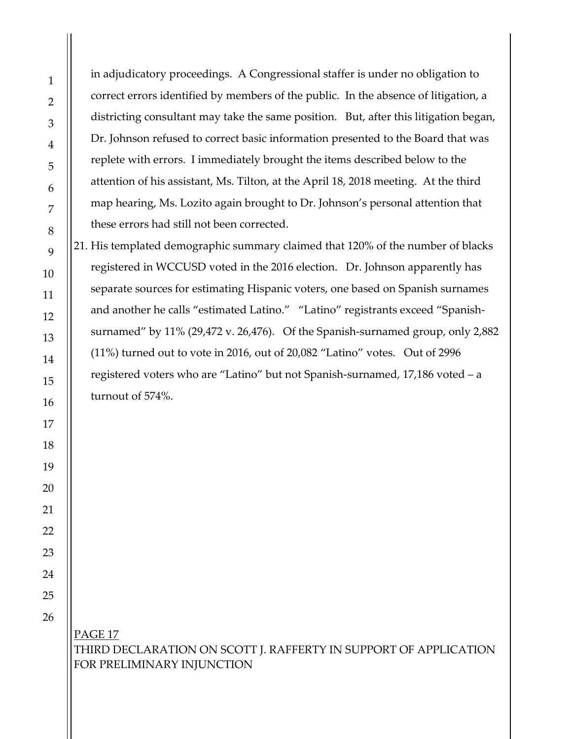in adjudicatory proceedings. A Congressional staffer is under no obligation to correct errors identified by members of the public. In the absence of litigation, a districting consultant may take the same position. But, after this litigation began, Dr. Johnson refused to correct basic information presented to the Board that was replete with errors. I immediately brought the items described below to the attention of his assistant, Ms. Tilton, at the April 18, 2018 meeting. At the third map hearing, Ms. Lozito again brought to Dr. Johnson's personal attention that these errors had still not been corrected.

<span id="page-16-0"></span>21. His templated demographic summary claimed that 120% of the number of blacks registered in WCCUSD voted in the 2016 election. Dr. Johnson apparently has separate sources for estimating Hispanic voters, one based on Spanish surnames and another he calls "estimated Latino." "Latino" registrants exceed "Spanishsurnamed" by 11% (29,472 v. 26,476). Of the Spanish-surnamed group, only 2,882 (11%) turned out to vote in 2016, out of 20,082 "Latino" votes. Out of 2996 registered voters who are "Latino" but not Spanish-surnamed, 17,186 voted – a turnout of 574%.

PAGE 17 THIRD DECLARATION ON SCOTT J. RAFFERTY IN SUPPORT OF APPLICATION FOR PRELIMINARY INJUNCTION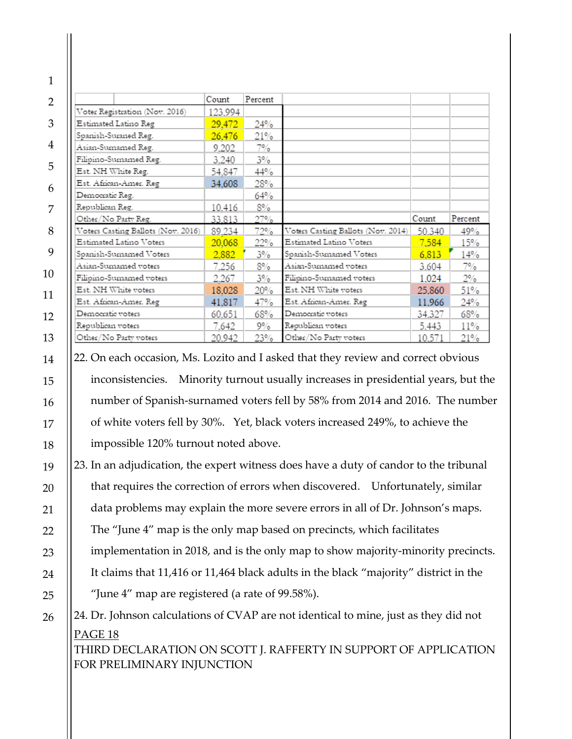|                                    | Count   | Percent |                                    |        |         |
|------------------------------------|---------|---------|------------------------------------|--------|---------|
| Voter Registration (Nov. 2016)     | 123,994 |         |                                    |        |         |
| Estimated Latino Reg               | 29,472  | 24%     |                                    |        |         |
| Spanish-Suraned Reg.               | 26,476  | 21%     |                                    |        |         |
| Asian-Sumamed Reg.                 | 9.202   | 7%      |                                    |        |         |
| Filipino-Sumamed Reg.              | 3,240   | $3\%$   |                                    |        |         |
| Est. NH White Reg.                 | 54.847  | 44%     |                                    |        |         |
| Est. African-Amer. Reg             | 34,608  | 28%     |                                    |        |         |
| Democratic Reg.                    |         | 64%     |                                    |        |         |
| Republican Reg.                    | 10.416  | 8%      |                                    |        |         |
| Other/No Party Reg.                | 33.813  | 27%     |                                    | Count  | Percent |
| Voters Casting Ballots (Nov. 2016) | 89.234  | 72%     | Voters Casting Ballots (Nov. 2014) | 50.340 | 49%     |
| Estimated Latino Voters            | 20,068  | 22%     | Estimated Latino Voters            | 7,584  | 15%     |
| Spanish-Sumamed Voters             | 2,882   | $3\%$   | Spanish-Sumamed Voters             | 6,813  | 14%     |
| Asian-Sumamed voters               | 7.256   | 8%      | Asian-Sumamed voters               | 3,604  | 7%      |
| Filipino-Sumamed voters            | 2.267   | $3\%$   | Filipino-Sumamed voters            | 1,024  | $2\%$   |
| Est. NH White voters               | 18,028  | 20%     | Est. NH White voters               | 25,860 | 51%     |
| Est. African-Amer. Reg             | 41,817  | 47%     | Est. African-Amer. Reg             | 11,966 | 24%     |
| Democratic voters                  | 60,651  | 68%     | Democratic voters                  | 34,327 | 68%     |
|                                    | 7.642   | 9%      | Republican voters                  | 5,443  | 11%     |
| Republican voters                  |         |         |                                    |        |         |

<span id="page-17-0"></span>22. On each occasion, Ms. Lozito and I asked that they review and correct obvious inconsistencies. Minority turnout usually increases in presidential years, but the number of Spanish-surnamed voters fell by 58% from 2014 and 2016. The number of white voters fell by 30%. Yet, black voters increased 249%, to achieve the impossible 120% turnout noted above.

23. In an adjudication, the expert witness does have a duty of candor to the tribunal that requires the correction of errors when discovered. Unfortunately, similar data problems may explain the more severe errors in all of Dr. Johnson's maps. The "June 4" map is the only map based on precincts, which facilitates implementation in 2018, and is the only map to show majority-minority precincts.

It claims that 11,416 or 11,464 black adults in the black "majority" district in the "June 4" map are registered (a rate of 99.58%).

<span id="page-17-1"></span>PAGE 18 24. Dr. Johnson calculations of CVAP are not identical to mine, just as they did not

THIRD DECLARATION ON SCOTT J. RAFFERTY IN SUPPORT OF APPLICATION FOR PRELIMINARY INJUNCTION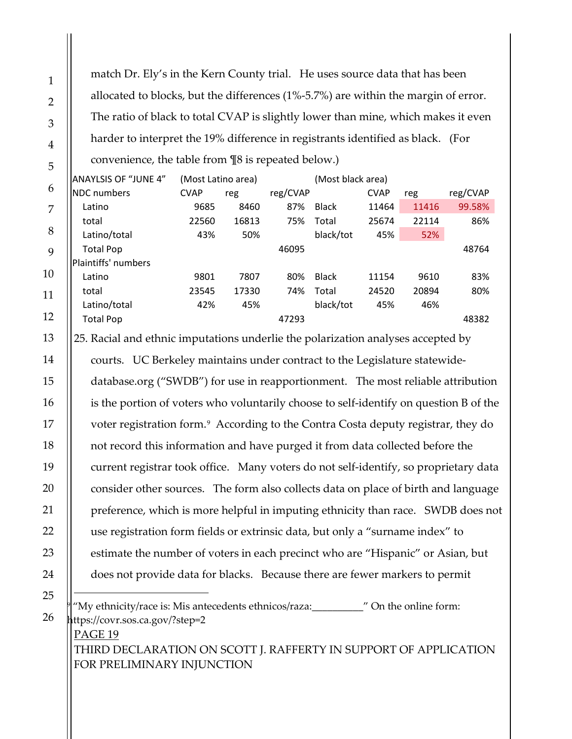match Dr. Ely's in the Kern County trial. He uses source data that has been allocated to blocks, but the differences (1%-5.7%) are within the margin of error. The ratio of black to total CVAP is slightly lower than mine, which makes it even harder to interpret the 19% difference in registrants identified as black. (For convenience, the table from ¶8 is repeated below.)

| ANAYLSIS OF "JUNE 4"       | (Most Latino area) |       | (Most black area) |              |             |       |          |
|----------------------------|--------------------|-------|-------------------|--------------|-------------|-------|----------|
| <b>INDC</b> numbers        | <b>CVAP</b>        | reg   |                   |              | <b>CVAP</b> | reg   | reg/CVAP |
| Latino                     | 9685               | 8460  | 87%               | <b>Black</b> | 11464       | 11416 | 99.58%   |
| total                      | 22560              | 16813 | 75%               | Total        | 25674       | 22114 | 86%      |
| Latino/total               | 43%                | 50%   |                   | black/tot    | 45%         | 52%   |          |
| <b>Total Pop</b>           |                    |       | 46095             |              |             |       | 48764    |
| <b>Plaintiffs' numbers</b> |                    |       |                   |              |             |       |          |
| Latino                     | 9801               | 7807  | 80%               | <b>Black</b> | 11154       | 9610  | 83%      |
| total                      | 23545              | 17330 | 74%               | Total        | 24520       | 20894 | 80%      |
| Latino/total               | 42%                | 45%   |                   | black/tot    | 45%         | 46%   |          |
| <b>Total Pop</b>           |                    |       | 47293             |              |             |       | 48382    |
|                            |                    |       |                   |              | reg/CVAP    |       |          |

25. Racial and ethnic imputations underlie the polarization analyses accepted by courts. UC Berkeley maintains under contract to the Legislature statewidedatabase.org ("SWDB") for use in reapportionment. The most reliable attribution is the portion of voters who voluntarily choose to self-identify on question B of the voter registration form.<sup>[9](#page-18-0)</sup> According to the Contra Costa deputy registrar, they do not record this information and have purged it from data collected before the current registrar took office. Many voters do not self-identify, so proprietary data consider other sources. The form also collects data on place of birth and language preference, which is more helpful in imputing ethnicity than race. SWDB does not use registration form fields or extrinsic data, but only a "surname index" to estimate the number of voters in each precinct who are "Hispanic" or Asian, but does not provide data for blacks. Because there are fewer markers to permit  $\overline{a}$ 

"My ethnicity/race is: Mis antecedents ethnicos/raza:\_\_\_\_\_\_\_\_\_\_\_\_" On the online form: https://covr.sos.ca.gov/?step=2

PAGE 19 THIRD DECLARATION ON SCOTT J. RAFFERTY IN SUPPORT OF APPLICATION FOR PRELIMINARY INJUNCTION

<span id="page-18-0"></span>26

1

2

3

4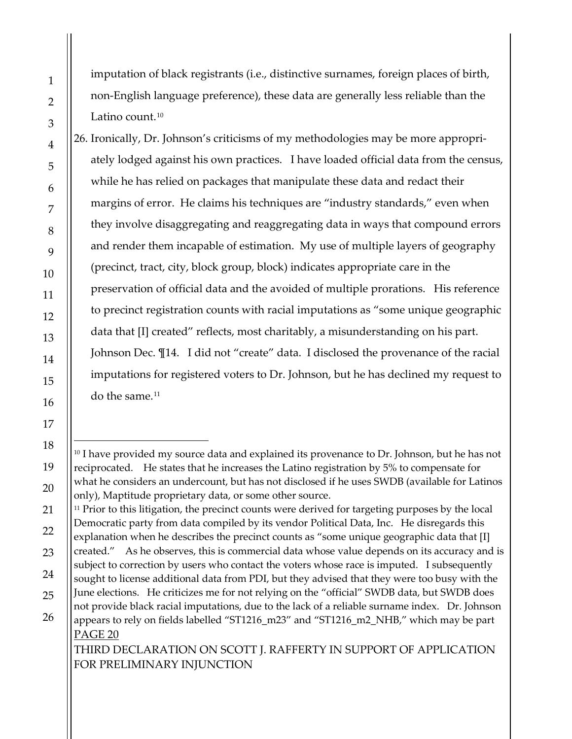$\overline{a}$ 

imputation of black registrants (i.e., distinctive surnames, foreign places of birth, non-English language preference), these data are generally less reliable than the Latino count. $10$ 

26. Ironically, Dr. Johnson's criticisms of my methodologies may be more appropriately lodged against his own practices. I have loaded official data from the census, while he has relied on packages that manipulate these data and redact their margins of error. He claims his techniques are "industry standards," even when they involve disaggregating and reaggregating data in ways that compound errors and render them incapable of estimation. My use of multiple layers of geography (precinct, tract, city, block group, block) indicates appropriate care in the preservation of official data and the avoided of multiple prorations. His reference to precinct registration counts with racial imputations as "some unique geographic data that [I] created" reflects, most charitably, a misunderstanding on his part. Johnson Dec. ¶14. I did not "create" data. I disclosed the provenance of the racial imputations for registered voters to Dr. Johnson, but he has declined my request to do the same. [11](#page-19-1) 

<span id="page-19-1"></span><sup>11</sup> Prior to this litigation, the precinct counts were derived for targeting purposes by the local Democratic party from data compiled by its vendor Political Data, Inc. He disregards this explanation when he describes the precinct counts as "some unique geographic data that [I]

- created." As he observes, this is commercial data whose value depends on its accuracy and is subject to correction by users who contact the voters whose race is imputed. I subsequently sought to license additional data from PDI, but they advised that they were too busy with the
- PAGE 20 June elections. He criticizes me for not relying on the "official" SWDB data, but SWDB does not provide black racial imputations, due to the lack of a reliable surname index. Dr. Johnson appears to rely on fields labelled "ST1216\_m23" and "ST1216\_m2\_NHB," which may be part

THIRD DECLARATION ON SCOTT J. RAFFERTY IN SUPPORT OF APPLICATION FOR PRELIMINARY INJUNCTION

<span id="page-19-0"></span><sup>&</sup>lt;sup>10</sup> I have provided my source data and explained its provenance to Dr. Johnson, but he has not reciprocated. He states that he increases the Latino registration by 5% to compensate for what he considers an undercount, but has not disclosed if he uses SWDB (available for Latinos only), Maptitude proprietary data, or some other source.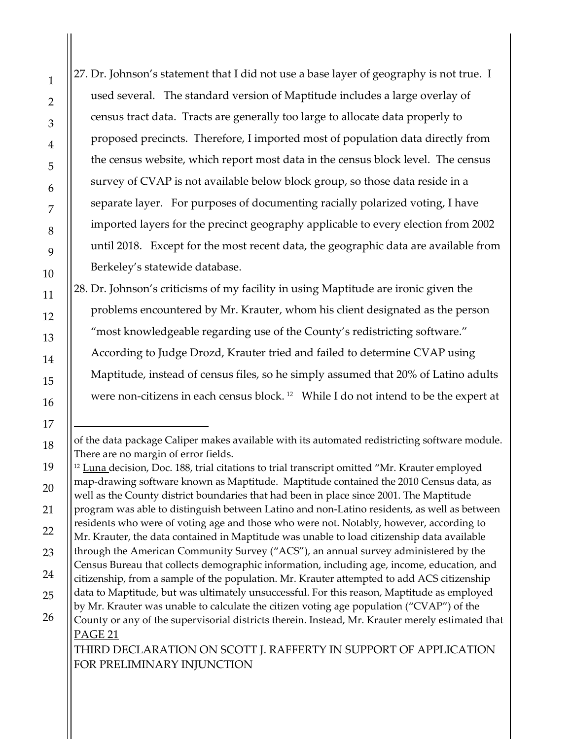27. Dr. Johnson's statement that I did not use a base layer of geography is not true. I used several. The standard version of Maptitude includes a large overlay of census tract data. Tracts are generally too large to allocate data properly to proposed precincts. Therefore, I imported most of population data directly from the census website, which report most data in the census block level. The census survey of CVAP is not available below block group, so those data reside in a separate layer. For purposes of documenting racially polarized voting, I have imported layers for the precinct geography applicable to every election from 2002 until 2018. Except for the most recent data, the geographic data are available from Berkeley's statewide database. 28. Dr. Johnson's criticisms of my facility in using Maptitude are ironic given the problems encountered by Mr. Krauter, whom his client designated as the person "most knowledgeable regarding use of the County's redistricting software." According to Judge Drozd, Krauter tried and failed to determine CVAP using Maptitude, instead of census files, so he simply assumed that 20% of Latino adults were non-citizens in each census block. [12](#page-20-1) While I do not intend to be the expert at  $\overline{a}$ 

FOR PRELIMINARY INJUNCTION

<span id="page-20-0"></span>of the data package Caliper makes available with its automated redistricting software module. There are no margin of error fields.

<span id="page-20-1"></span>PAGE 21 THIRD DECLARATION ON SCOTT J. RAFFERTY IN SUPPORT OF APPLICATION  $12$  Luna decision, Doc. 188, trial citations to trial transcript omitted "Mr. Krauter employed map-drawing software known as Maptitude. Maptitude contained the 2010 Census data, as well as the County district boundaries that had been in place since 2001. The Maptitude program was able to distinguish between Latino and non-Latino residents, as well as between residents who were of voting age and those who were not. Notably, however, according to Mr. Krauter, the data contained in Maptitude was unable to load citizenship data available through the American Community Survey ("ACS"), an annual survey administered by the Census Bureau that collects demographic information, including age, income, education, and citizenship, from a sample of the population. Mr. Krauter attempted to add ACS citizenship data to Maptitude, but was ultimately unsuccessful. For this reason, Maptitude as employed by Mr. Krauter was unable to calculate the citizen voting age population ("CVAP") of the County or any of the supervisorial districts therein. Instead, Mr. Krauter merely estimated that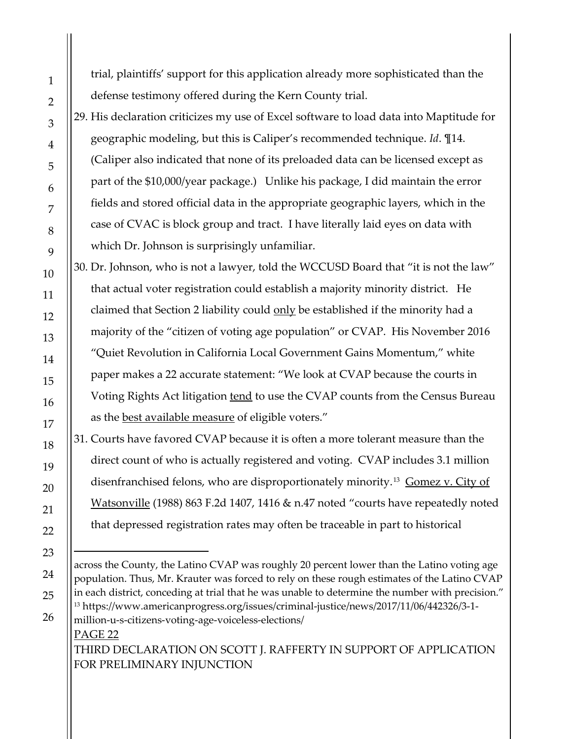trial, plaintiffs' support for this application already more sophisticated than the defense testimony offered during the Kern County trial.

29. His declaration criticizes my use of Excel software to load data into Maptitude for geographic modeling, but this is Caliper's recommended technique. *Id*. ¶14. (Caliper also indicated that none of its preloaded data can be licensed except as part of the \$10,000/year package.) Unlike his package, I did maintain the error fields and stored official data in the appropriate geographic layers, which in the case of CVAC is block group and tract. I have literally laid eyes on data with which Dr. Johnson is surprisingly unfamiliar.

30. Dr. Johnson, who is not a lawyer, told the WCCUSD Board that "it is not the law" that actual voter registration could establish a majority minority district. He claimed that Section 2 liability could only be established if the minority had a majority of the "citizen of voting age population" or CVAP. His November 2016 "Quiet Revolution in California Local Government Gains Momentum," white paper makes a 22 accurate statement: "We look at CVAP because the courts in Voting Rights Act litigation tend to use the CVAP counts from the Census Bureau as the best available measure of eligible voters."

31. Courts have favored CVAP because it is often a more tolerant measure than the direct count of who is actually registered and voting. CVAP includes 3.1 million disenfranchised felons, who are disproportionately minority.<sup>[13](#page-21-0)</sup> Gomez v. City of Watsonville (1988) 863 F.2d 1407, 1416 & n.47 noted "courts have repeatedly noted that depressed registration rates may often be traceable in part to historical

<span id="page-21-0"></span>PAGE 22 THIRD DECLARATION ON SCOTT J. RAFFERTY IN SUPPORT OF APPLICATION FOR PRELIMINARY INJUNCTION across the County, the Latino CVAP was roughly 20 percent lower than the Latino voting age population. Thus, Mr. Krauter was forced to rely on these rough estimates of the Latino CVAP in each district, conceding at trial that he was unable to determine the number with precision." <sup>13</sup> https://www.americanprogress.org/issues/criminal-justice/news/2017/11/06/442326/3-1 million-u-s-citizens-voting-age-voiceless-elections/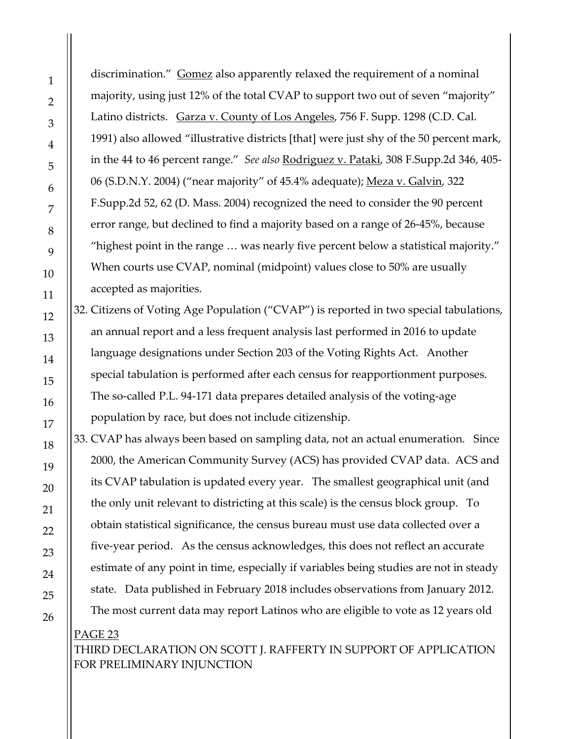discrimination." Gomez also apparently relaxed the requirement of a nominal majority, using just 12% of the total CVAP to support two out of seven "majority" Latino districts. Garza v. County of Los Angeles, 756 F. Supp. 1298 (C.D. Cal. 1991) also allowed "illustrative districts [that] were just shy of the 50 percent mark, in the 44 to 46 percent range." *See also* Rodriguez v. Pataki, 308 F.Supp.2d 346, 405- 06 (S.D.N.Y. 2004) ("near majority" of 45.4% adequate); Meza v. Galvin, 322 F.Supp.2d 52, 62 (D. Mass. 2004) recognized the need to consider the 90 percent error range, but declined to find a majority based on a range of 26-45%, because "highest point in the range … was nearly five percent below a statistical majority." When courts use CVAP, nominal (midpoint) values close to 50% are usually accepted as majorities.

32. Citizens of Voting Age Population ("CVAP") is reported in two special tabulations, an annual report and a less frequent analysis last performed in 2016 to update language designations under Section 203 of the Voting Rights Act. Another special tabulation is performed after each census for reapportionment purposes. The so-called P.L. 94-171 data prepares detailed analysis of the voting-age population by race, but does not include citizenship.

33. CVAP has always been based on sampling data, not an actual enumeration. Since 2000, the American Community Survey (ACS) has provided CVAP data. ACS and its CVAP tabulation is updated every year. The smallest geographical unit (and the only unit relevant to districting at this scale) is the census block group. To obtain statistical significance, the census bureau must use data collected over a five-year period. As the census acknowledges, this does not reflect an accurate estimate of any point in time, especially if variables being studies are not in steady state. Data published in February 2018 includes observations from January 2012. The most current data may report Latinos who are eligible to vote as 12 years old

# PAGE 23 THIRD DECLARATION ON SCOTT J. RAFFERTY IN SUPPORT OF APPLICATION FOR PRELIMINARY INJUNCTION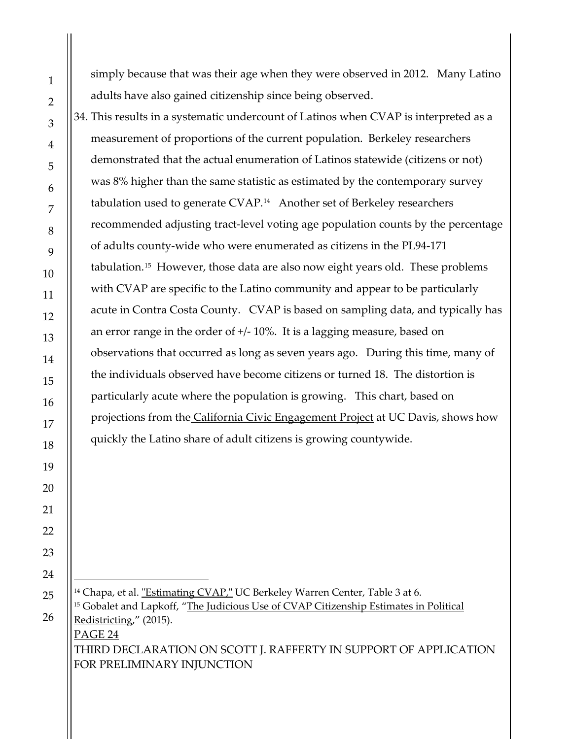simply because that was their age when they were observed in 2012. Many Latino adults have also gained citizenship since being observed.

34. This results in a systematic undercount of Latinos when CVAP is interpreted as a measurement of proportions of the current population. Berkeley researchers demonstrated that the actual enumeration of Latinos statewide (citizens or not) was 8% higher than the same statistic as estimated by the contemporary survey tabulation used to generate CVAP.<sup>[14](#page-23-0)</sup> Another set of Berkeley researchers recommended adjusting tract-level voting age population counts by the percentage of adults county-wide who were enumerated as citizens in the PL94-171 tabulation.[15](#page-23-1) However, those data are also now eight years old. These problems with CVAP are specific to the Latino community and appear to be particularly acute in Contra Costa County. CVAP is based on sampling data, and typically has an error range in the order of +/- 10%. It is a lagging measure, based on observations that occurred as long as seven years ago. During this time, many of the individuals observed have become citizens or turned 18. The distortion is particularly acute where the population is growing. This chart, based on projections from the [California Civic Engagement Project](https://static1.squarespace.com/static/57b8c7ce15d5dbf599fb46ab/t/57ec16128419c260da2ec00f/1475089939209/Table+7-2+California+Citizen+Voting+Age+Population+Percent+Latino+2012+2040.pdf) at UC Davis, shows how quickly the Latino share of adult citizens is growing countywide.

<span id="page-23-1"></span><span id="page-23-0"></span>PAGE 24 THIRD DECLARATION ON SCOTT J. RAFFERTY IN SUPPORT OF APPLICATION FOR PRELIMINARY INJUNCTION <sup>14</sup> Chapa, et al. ["Estimating CVAP,"](https://www.law.berkeley.edu/files/Redistricting_PolicyBrief4_forWeb.pdf) UC Berkeley Warren Center, Table 3 at 6. <sup>15</sup> Gobalet and Lapkoff, "The Judicious Use of [CVAP Citizenship Estimates in Political](https://acsdatacommunity.prb.org/cfs-file/__key/widgetcontainerfiles/3fc3f82483d14ec485ef92e206116d49-s-AAAAAAAAAAAAAAAAAAAAAA-page-02015_5F00_acs_5F00_conference/gobalet_5F00_662081.pdf)  [Redistricting,](https://acsdatacommunity.prb.org/cfs-file/__key/widgetcontainerfiles/3fc3f82483d14ec485ef92e206116d49-s-AAAAAAAAAAAAAAAAAAAAAA-page-02015_5F00_acs_5F00_conference/gobalet_5F00_662081.pdf)" (2015).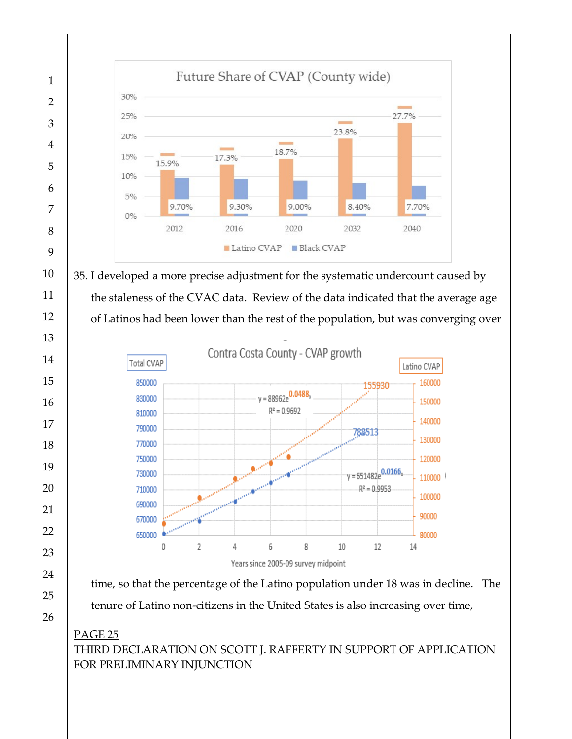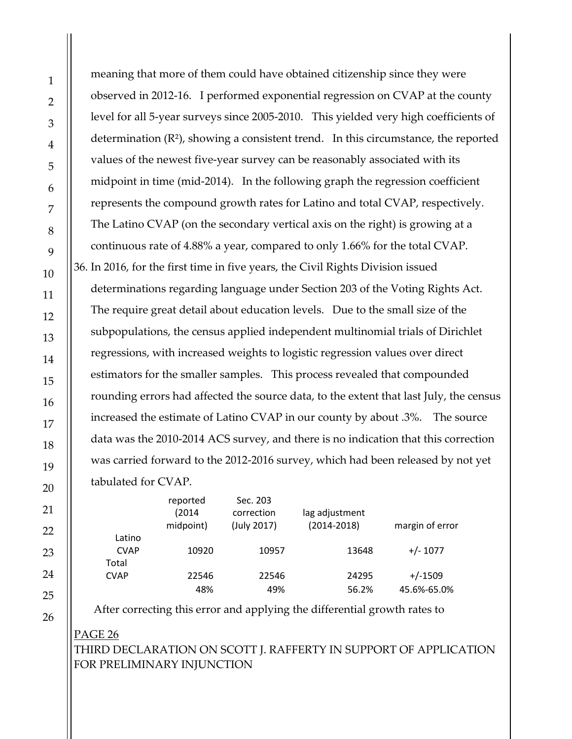meaning that more of them could have obtained citizenship since they were observed in 2012-16. I performed exponential regression on CVAP at the county level for all 5-year surveys since 2005-2010. This yielded very high coefficients of determination  $(R^2)$ , showing a consistent trend. In this circumstance, the reported values of the newest five-year survey can be reasonably associated with its midpoint in time (mid-2014). In the following graph the regression coefficient represents the compound growth rates for Latino and total CVAP, respectively. The Latino CVAP (on the secondary vertical axis on the right) is growing at a continuous rate of 4.88% a year, compared to only 1.66% for the total CVAP. 36. In 2016, for the first time in five years, the Civil Rights Division issued determinations regarding language under Section 203 of the Voting Rights Act. The require great detail about education levels. Due to the small size of the subpopulations, the census applied independent multinomial trials of Dirichlet regressions, with increased weights to logistic regression values over direct estimators for the smaller samples. This process revealed that compounded rounding errors had affected the source data, to the extent that last July, the census increased the estimate of Latino CVAP in our county by about .3%. The source data was the 2010-2014 ACS survey, and there is no indication that this correction was carried forward to the 2012-2016 survey, which had been released by not yet tabulated for CVAP.

|                                | reported<br>(2014)<br>midpoint) | Sec. 203<br>correction<br>(July 2017) | lag adjustment<br>$(2014 - 2018)$ | margin of error |
|--------------------------------|---------------------------------|---------------------------------------|-----------------------------------|-----------------|
| Latino<br><b>CVAP</b><br>Total | 10920                           | 10957                                 | 13648                             | $+/- 1077$      |
| <b>CVAP</b>                    | 22546                           | 22546                                 | 24295                             | $+/-1509$       |
|                                | 48%                             | 49%                                   | 56.2%                             | 45.6%-65.0%     |

After correcting this error and applying the differential growth rates to

PAGE 26 THIRD DECLARATION ON SCOTT J. RAFFERTY IN SUPPORT OF APPLICATION FOR PRELIMINARY INJUNCTION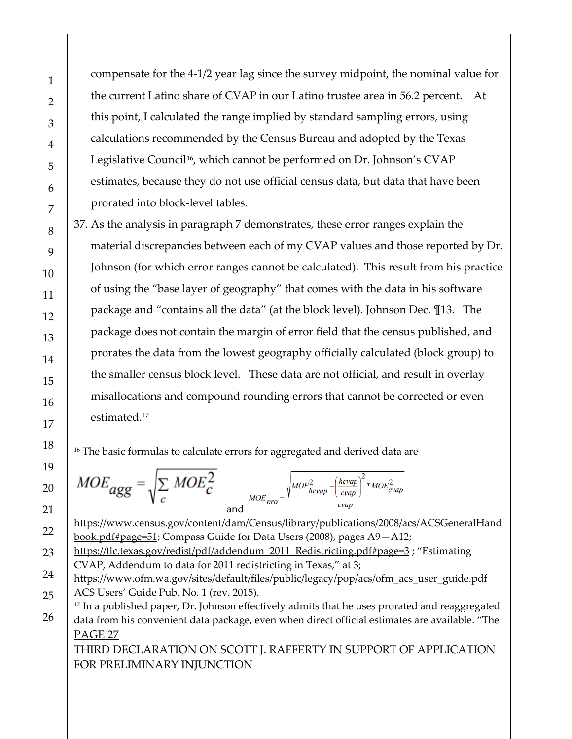compensate for the 4-1/2 year lag since the survey midpoint, the nominal value for the current Latino share of CVAP in our Latino trustee area in 56.2 percent. At this point, I calculated the range implied by standard sampling errors, using calculations recommended by the Census Bureau and adopted by the Texas Legislative Council<sup>[16](#page-26-1)</sup>, which cannot be performed on Dr. Johnson's CVAP estimates, because they do not use official census data, but data that have been prorated into block-level tables.

<span id="page-26-0"></span>37. As the analysis in paragraph [7](#page-8-1) demonstrates, these error ranges explain the material discrepancies between each of my CVAP values and those reported by Dr. Johnson (for which error ranges cannot be calculated). This result from his practice of using the "base layer of geography" that comes with the data in his software package and "contains all the data" (at the block level). Johnson Dec. ¶13. The package does not contain the margin of error field that the census published, and prorates the data from the lowest geography officially calculated (block group) to the smaller census block level. These data are not official, and result in overlay misallocations and compound rounding errors that cannot be corrected or even estimated.[17](#page-26-2)

<span id="page-26-1"></span><sup>16</sup> The basic formulas to calculate errors for aggregated and derived data are

$$
MOE_{agg} = \sqrt{\sum_{c} MOE_{c}^{2}}
$$
  
and  

$$
^{MOE_{prop}} = \sqrt{\frac{MOE_{ncvap}^{2} - (\frac{hcvap}{cvap})^{2} * MOE_{cvap}^{2}}{cvap}}
$$

[https://www.census.gov/content/dam/Census/library/publications/2008/acs/ACSGeneralHand](https://www.census.gov/content/dam/Census/library/publications/2008/acs/ACSGeneralHandbook.pdf#page=51) [book.pdf#page=51;](https://www.census.gov/content/dam/Census/library/publications/2008/acs/ACSGeneralHandbook.pdf#page=51) Compass Guide for Data Users (2008), pages A9—A12;

[https://tlc.texas.gov/redist/pdf/addendum\\_2011\\_Redistricting.pdf#page=3](https://tlc.texas.gov/redist/pdf/addendum_2011_Redistricting.pdf#page=3) ; "Estimating CVAP, Addendum to data for 2011 redistricting in Texas," at 3;

<span id="page-26-2"></span>[https://www.ofm.wa.gov/sites/default/files/public/legacy/pop/acs/ofm\\_acs\\_user\\_guide.pdf](https://www.ofm.wa.gov/sites/default/files/public/legacy/pop/acs/ofm_acs_user_guide.pdf) ACS Users' Guide Pub. No. 1 (rev. 2015).

PAGE 27 <sup>17</sup> In a published paper, Dr. Johnson effectively admits that he uses prorated and reaggregated data from his convenient data package, even when direct official estimates are available. "The

THIRD DECLARATION ON SCOTT J. RAFFERTY IN SUPPORT OF APPLICATION FOR PRELIMINARY INJUNCTION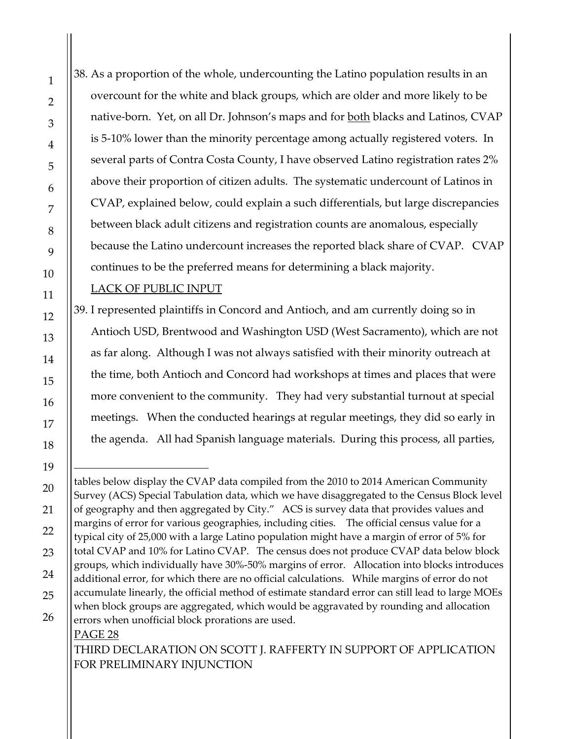38. As a proportion of the whole, undercounting the Latino population results in an overcount for the white and black groups, which are older and more likely to be native-born. Yet, on all Dr. Johnson's maps and for both blacks and Latinos, CVAP is 5-10% lower than the minority percentage among actually registered voters. In several parts of Contra Costa County, I have observed Latino registration rates 2% above their proportion of citizen adults. The systematic undercount of Latinos in CVAP, explained below, could explain a such differentials, but large discrepancies between black adult citizens and registration counts are anomalous, especially because the Latino undercount increases the reported black share of CVAP. CVAP continues to be the preferred means for determining a black majority.

### LACK OF PUBLIC INPUT

39. I represented plaintiffs in Concord and Antioch, and am currently doing so in Antioch USD, Brentwood and Washington USD (West Sacramento), which are not as far along. Although I was not always satisfied with their minority outreach at the time, both Antioch and Concord had workshops at times and places that were more convenient to the community. They had very substantial turnout at special meetings. When the conducted hearings at regular meetings, they did so early in the agenda. All had Spanish language materials. During this process, all parties,

THIRD DECLARATION ON SCOTT J. RAFFERTY IN SUPPORT OF APPLICATION FOR PRELIMINARY INJUNCTION

PAGE 28  $\overline{a}$ tables below display the CVAP data compiled from the 2010 to 2014 American Community Survey (ACS) Special Tabulation data, which we have disaggregated to the Census Block level of geography and then aggregated by City." ACS is survey data that provides values and margins of error for various geographies, including cities. The official census value for a typical city of 25,000 with a large Latino population might have a margin of error of 5% for total CVAP and 10% for Latino CVAP. The census does not produce CVAP data below block groups, which individually have 30%-50% margins of error. Allocation into blocks introduces additional error, for which there are no official calculations. While margins of error do not accumulate linearly, the official method of estimate standard error can still lead to large MOEs when block groups are aggregated, which would be aggravated by rounding and allocation errors when unofficial block prorations are used.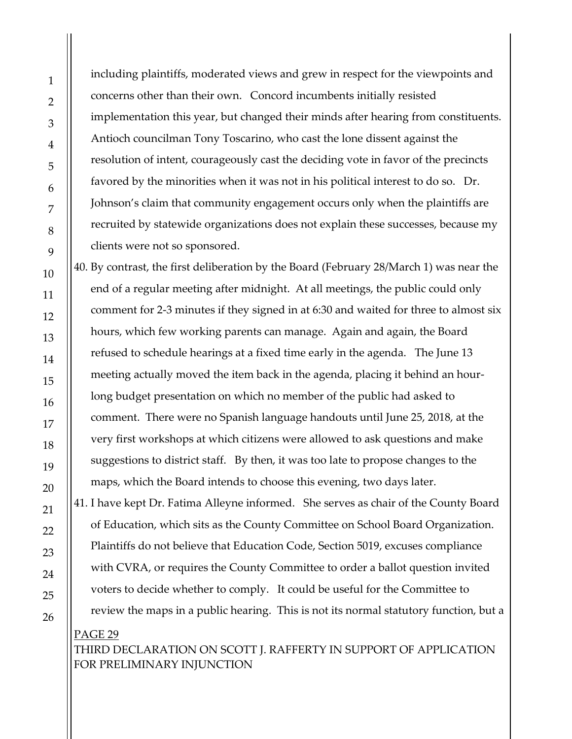including plaintiffs, moderated views and grew in respect for the viewpoints and concerns other than their own. Concord incumbents initially resisted implementation this year, but changed their minds after hearing from constituents. Antioch councilman Tony Toscarino, who cast the lone dissent against the resolution of intent, courageously cast the deciding vote in favor of the precincts favored by the minorities when it was not in his political interest to do so. Dr. Johnson's claim that community engagement occurs only when the plaintiffs are recruited by statewide organizations does not explain these successes, because my clients were not so sponsored.

40. By contrast, the first deliberation by the Board (February 28/March 1) was near the end of a regular meeting after midnight. At all meetings, the public could only comment for 2-3 minutes if they signed in at 6:30 and waited for three to almost six hours, which few working parents can manage. Again and again, the Board refused to schedule hearings at a fixed time early in the agenda. The June 13 meeting actually moved the item back in the agenda, placing it behind an hourlong budget presentation on which no member of the public had asked to comment. There were no Spanish language handouts until June 25, 2018, at the very first workshops at which citizens were allowed to ask questions and make suggestions to district staff. By then, it was too late to propose changes to the maps, which the Board intends to choose this evening, two days later. 41. I have kept Dr. Fatima Alleyne informed. She serves as chair of the County Board of Education, which sits as the County Committee on School Board Organization. Plaintiffs do not believe that Education Code, Section 5019, excuses compliance with CVRA, or requires the County Committee to order a ballot question invited voters to decide whether to comply. It could be useful for the Committee to review the maps in a public hearing. This is not its normal statutory function, but a

PAGE 29 THIRD DECLARATION ON SCOTT J. RAFFERTY IN SUPPORT OF APPLICATION FOR PRELIMINARY INJUNCTION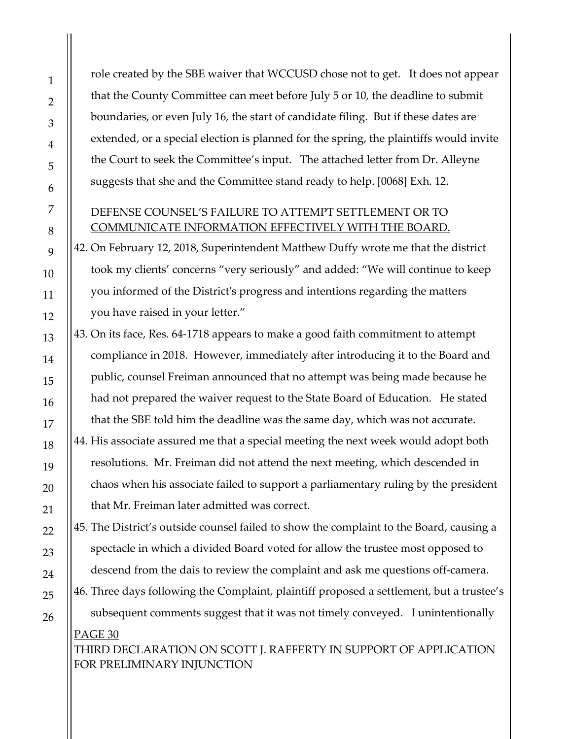role created by the SBE waiver that WCCUSD chose not to get. It does not appear that the County Committee can meet before July 5 or 10, the deadline to submit boundaries, or even July 16, the start of candidate filing. But if these dates are extended, or a special election is planned for the spring, the plaintiffs would invite the Court to seek the Committee's input. The attached letter from Dr. Alleyne suggests that she and the Committee stand ready to help. [0068] Exh. 12.

#### DEFENSE COUNSEL'S FAILURE TO ATTEMPT SETTLEMENT OR TO COMMUNICATE INFORMATION EFFECTIVELY WITH THE BOARD.

42. On February 12, 2018, Superintendent Matthew Duffy wrote me that the district took my clients' concerns "very seriously" and added: "We will continue to keep you informed of the District's progress and intentions regarding the matters you have raised in your letter."

43. On its face, Res. 64-1718 appears to make a good faith commitment to attempt compliance in 2018. However, immediately after introducing it to the Board and public, counsel Freiman announced that no attempt was being made because he had not prepared the waiver request to the State Board of Education. He stated that the SBE told him the deadline was the same day, which was not accurate. 44. His associate assured me that a special meeting the next week would adopt both resolutions. Mr. Freiman did not attend the next meeting, which descended in chaos when his associate failed to support a parliamentary ruling by the president that Mr. Freiman later admitted was correct.

45. The District's outside counsel failed to show the complaint to the Board, causing a spectacle in which a divided Board voted for allow the trustee most opposed to descend from the dais to review the complaint and ask me questions off-camera. 46. Three days following the Complaint, plaintiff proposed a settlement, but a trustee's

# PAGE 30 THIRD DECLARATION ON SCOTT J. RAFFERTY IN SUPPORT OF APPLICATION subsequent comments suggest that it was not timely conveyed. I unintentionally

FOR PRELIMINARY INJUNCTION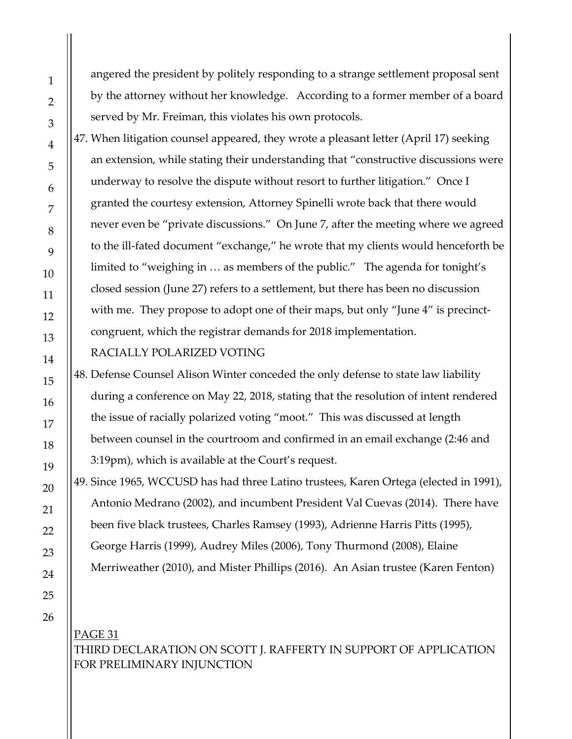angered the president by politely responding to a strange settlement proposal sent by the attorney without her knowledge. According to a former member of a board served by Mr. Freiman, this violates his own protocols.

47. When litigation counsel appeared, they wrote a pleasant letter (April 17) seeking an extension, while stating their understanding that "constructive discussions were underway to resolve the dispute without resort to further litigation." Once I granted the courtesy extension, Attorney Spinelli wrote back that there would never even be "private discussions." On June 7, after the meeting where we agreed to the ill-fated document "exchange," he wrote that my clients would henceforth be limited to "weighing in … as members of the public." The agenda for tonight's closed session (June 27) refers to a settlement, but there has been no discussion with me. They propose to adopt one of their maps, but only "June 4" is precinctcongruent, which the registrar demands for 2018 implementation.

#### RACIALLY POLARIZED VOTING

48. Defense Counsel Alison Winter conceded the only defense to state law liability during a conference on May 22, 2018, stating that the resolution of intent rendered the issue of racially polarized voting "moot." This was discussed at length between counsel in the courtroom and confirmed in an email exchange (2:46 and 3:19pm), which is available at the Court's request.

49. Since 1965, WCCUSD has had three Latino trustees, Karen Ortega (elected in 1991), Antonio Medrano (2002), and incumbent President Val Cuevas (2014). There have been five black trustees, Charles Ramsey (1993), Adrienne Harris Pitts (1995), George Harris (1999), Audrey Miles (2006), Tony Thurmond (2008), Elaine Merriweather (2010), and Mister Phillips (2016). An Asian trustee (Karen Fenton)

PAGE 31 THIRD DECLARATION ON SCOTT J. RAFFERTY IN SUPPORT OF APPLICATION FOR PRELIMINARY INJUNCTION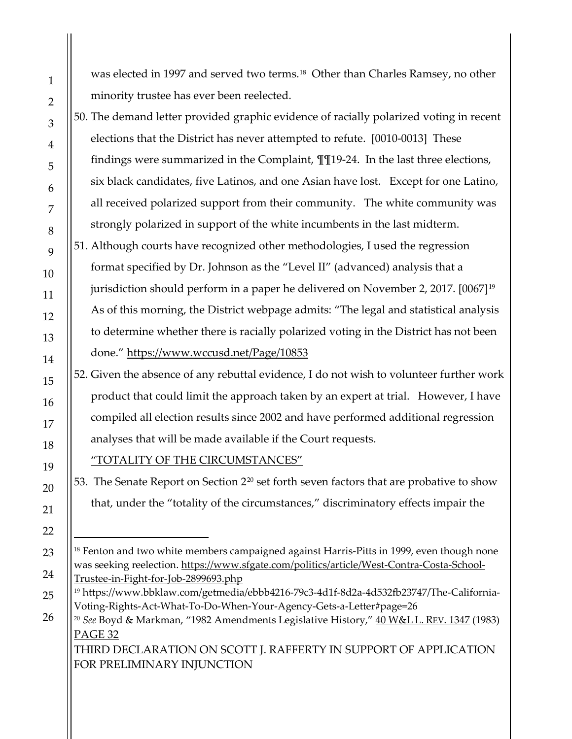was elected in 1997 and served two terms.<sup>18</sup> Other than Charles Ramsey, no other minority trustee has ever been reelected.

- 50. The demand letter provided graphic evidence of racially polarized voting in recent elections that the District has never attempted to refute. [0010-0013] These findings were summarized in the Complaint, ¶¶19-24. In the last three elections, six black candidates, five Latinos, and one Asian have lost. Except for one Latino, all received polarized support from their community. The white community was strongly polarized in support of the white incumbents in the last midterm. 51. Although courts have recognized other methodologies, I used the regression format specified by Dr. Johnson as the "Level II" (advanced) analysis that a jurisdiction should perform in a paper he delivered on November 2, 2017. [0067][19](#page-31-1) As of this morning, the District webpage admits: "The legal and statistical analysis
- to determine whether there is racially polarized voting in the District has not been done."<https://www.wccusd.net/Page/10853>
- 52. Given the absence of any rebuttal evidence, I do not wish to volunteer further work product that could limit the approach taken by an expert at trial. However, I have compiled all election results since 2002 and have performed additional regression analyses that will be made available if the Court requests.
	- "TOTALITY OF THE CIRCUMSTANCES"
- 53. The Senate Report on Section 2<sup>[20](#page-31-2)</sup> set forth seven factors that are probative to show that, under the "totality of the circumstances," discriminatory effects impair the

THIRD DECLARATION ON SCOTT J. RAFFERTY IN SUPPORT OF APPLICATION FOR PRELIMINARY INJUNCTION

<span id="page-31-0"></span><sup>&</sup>lt;sup>18</sup> Fenton and two white members campaigned against Harris-Pitts in 1999, even though none was seeking reelection. [https://www.sfgate.com/politics/article/West-Contra-Costa-School-](https://www.sfgate.com/politics/article/West-Contra-Costa-School-Trustee-in-Fight-for-Job-2899693.php)[Trustee-in-Fight-for-Job-2899693.php](https://www.sfgate.com/politics/article/West-Contra-Costa-School-Trustee-in-Fight-for-Job-2899693.php)

<span id="page-31-2"></span><span id="page-31-1"></span><sup>19</sup> https://www.bbklaw.com/getmedia/ebbb4216-79c3-4d1f-8d2a-4d532fb23747/The-California-Voting-Rights-Act-What-To-Do-When-Your-Agency-Gets-a-Letter#page=26

PAGE 32 <sup>20</sup> *See* Boyd & Markman, "1982 Amendments Legislative History," 40 W&L L. [REV. 1347](https://scholarlycommons.law.wlu.edu/cgi/viewcontent.cgi?article=2674&context=wlulr) (1983)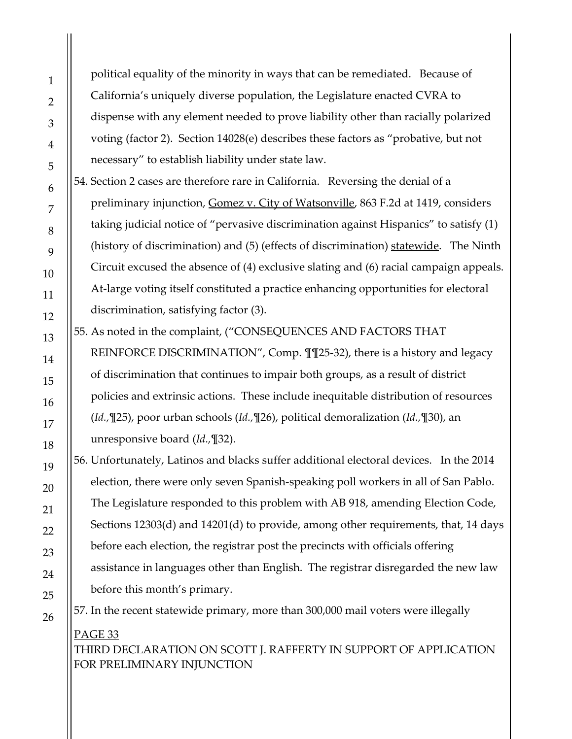political equality of the minority in ways that can be remediated. Because of California's uniquely diverse population, the Legislature enacted CVRA to dispense with any element needed to prove liability other than racially polarized voting (factor 2). Section 14028(e) describes these factors as "probative, but not necessary" to establish liability under state law.

54. Section 2 cases are therefore rare in California. Reversing the denial of a preliminary injunction, Gomez v. City of Watsonville, 863 F.2d at 1419, considers taking judicial notice of "pervasive discrimination against Hispanics" to satisfy (1) (history of discrimination) and (5) (effects of discrimination) statewide. The Ninth Circuit excused the absence of (4) exclusive slating and (6) racial campaign appeals. At-large voting itself constituted a practice enhancing opportunities for electoral discrimination, satisfying factor (3).

55. As noted in the complaint, ("CONSEQUENCES AND FACTORS THAT

REINFORCE DISCRIMINATION", Comp. ¶¶25-32), there is a history and legacy of discrimination that continues to impair both groups, as a result of district policies and extrinsic actions. These include inequitable distribution of resources (*Id.,*¶25), poor urban schools (*Id.,*¶26), political demoralization (*Id.,*¶30), an unresponsive board (*Id.,*¶32).

56. Unfortunately, Latinos and blacks suffer additional electoral devices. In the 2014 election, there were only seven Spanish-speaking poll workers in all of San Pablo. The Legislature responded to this problem with AB 918, amending Election Code, Sections 12303(d) and 14201(d) to provide, among other requirements, that, 14 days before each election, the registrar post the precincts with officials offering assistance in languages other than English. The registrar disregarded the new law before this month's primary.

57. In the recent statewide primary, more than 300,000 mail voters were illegally

PAGE 33 THIRD DECLARATION ON SCOTT J. RAFFERTY IN SUPPORT OF APPLICATION FOR PRELIMINARY INJUNCTION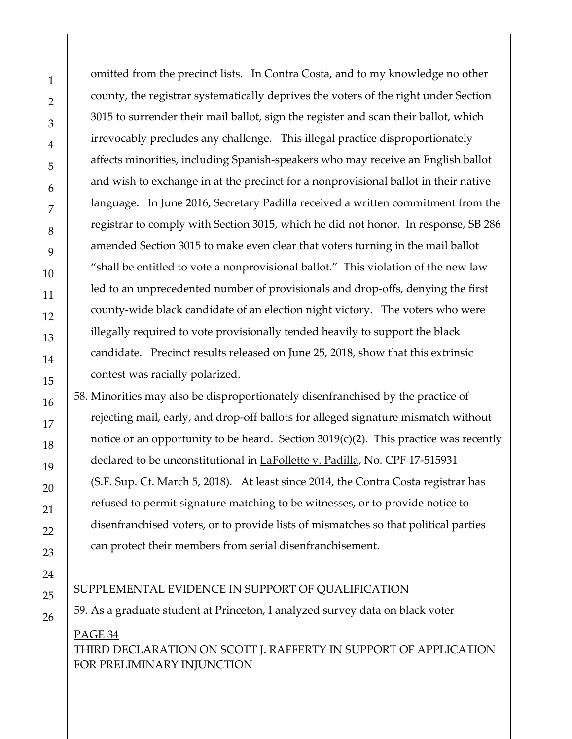omitted from the precinct lists. In Contra Costa, and to my knowledge no other county, the registrar systematically deprives the voters of the right under Section 3015 to surrender their mail ballot, sign the register and scan their ballot, which irrevocably precludes any challenge. This illegal practice disproportionately affects minorities, including Spanish-speakers who may receive an English ballot and wish to exchange in at the precinct for a nonprovisional ballot in their native language. In June 2016, Secretary Padilla received a written commitment from the registrar to comply with Section 3015, which he did not honor. In response, SB 286 amended Section 3015 to make even clear that voters turning in the mail ballot "shall be entitled to vote a nonprovisional ballot." This violation of the new law led to an unprecedented number of provisionals and drop-offs, denying the first county-wide black candidate of an election night victory. The voters who were illegally required to vote provisionally tended heavily to support the black candidate. Precinct results released on June 25, 2018, show that this extrinsic contest was racially polarized. 58. Minorities may also be disproportionately disenfranchised by the practice of rejecting mail, early, and drop-off ballots for alleged signature mismatch without notice or an opportunity to be heard. Section  $3019(c)(2)$ . This practice was recently declared to be unconstitutional in LaFollette v. Padilla, No. CPF 17-515931

(S.F. Sup. Ct. March 5, 2018). At least since 2014, the Contra Costa registrar has refused to permit signature matching to be witnesses, or to provide notice to disenfranchised voters, or to provide lists of mismatches so that political parties can protect their members from serial disenfranchisement.

<span id="page-33-0"></span>PAGE 34 SUPPLEMENTAL EVIDENCE IN SUPPORT OF QUALIFICATION 59. As a graduate student at Princeton, I analyzed survey data on black voter

# THIRD DECLARATION ON SCOTT J. RAFFERTY IN SUPPORT OF APPLICATION FOR PRELIMINARY INJUNCTION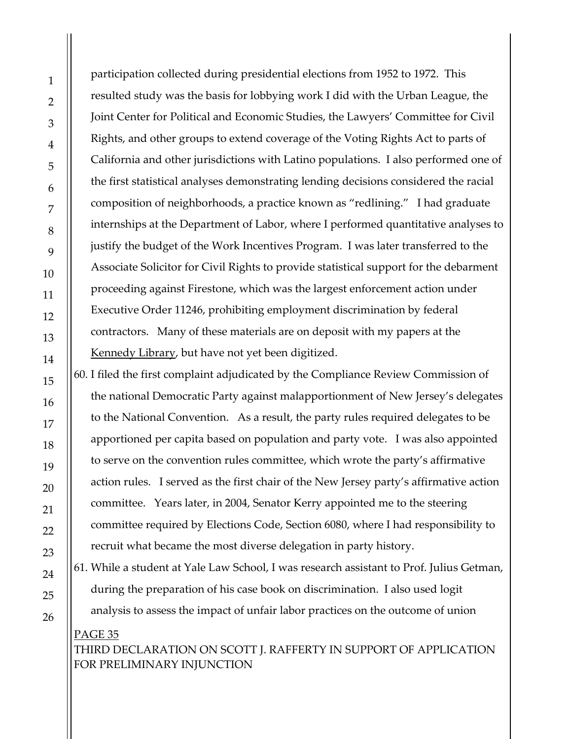participation collected during presidential elections from 1952 to 1972. This resulted study was the basis for lobbying work I did with the Urban League, the Joint Center for Political and Economic Studies, the Lawyers' Committee for Civil Rights, and other groups to extend coverage of the Voting Rights Act to parts of California and other jurisdictions with Latino populations. I also performed one of the first statistical analyses demonstrating lending decisions considered the racial composition of neighborhoods, a practice known as "redlining." I had graduate internships at the Department of Labor, where I performed quantitative analyses to justify the budget of the Work Incentives Program. I was later transferred to the Associate Solicitor for Civil Rights to provide statistical support for the debarment proceeding against Firestone, which was the largest enforcement action under Executive Order 11246, prohibiting employment discrimination by federal contractors. Many of these materials are on deposit with my papers at the [Kennedy Library,](https://www.jfklibrary.org/Asset-Viewer/Archives/SRPP.aspx?f=1) but have not yet been digitized.

60. I filed the first complaint adjudicated by the Compliance Review Commission of the national Democratic Party against malapportionment of New Jersey's delegates to the National Convention. As a result, the party rules required delegates to be apportioned per capita based on population and party vote. I was also appointed to serve on the convention rules committee, which wrote the party's affirmative action rules. I served as the first chair of the New Jersey party's affirmative action committee. Years later, in 2004, Senator Kerry appointed me to the steering committee required by Elections Code, Section 6080, where I had responsibility to recruit what became the most diverse delegation in party history.

61. While a student at Yale Law School, I was research assistant to Prof. Julius Getman, during the preparation of his case book on discrimination. I also used logit analysis to assess the impact of unfair labor practices on the outcome of union

# PAGE 35 THIRD DECLARATION ON SCOTT J. RAFFERTY IN SUPPORT OF APPLICATION FOR PRELIMINARY INJUNCTION